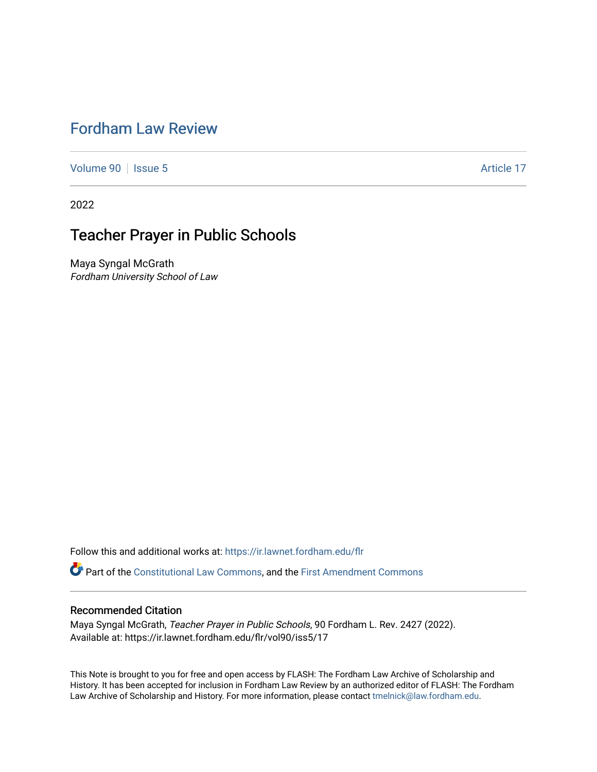# [Fordham Law Review](https://ir.lawnet.fordham.edu/flr)

[Volume 90](https://ir.lawnet.fordham.edu/flr/vol90) | [Issue 5](https://ir.lawnet.fordham.edu/flr/vol90/iss5) Article 17

2022

# Teacher Prayer in Public Schools

Maya Syngal McGrath Fordham University School of Law

Follow this and additional works at: [https://ir.lawnet.fordham.edu/flr](https://ir.lawnet.fordham.edu/flr?utm_source=ir.lawnet.fordham.edu%2Fflr%2Fvol90%2Fiss5%2F17&utm_medium=PDF&utm_campaign=PDFCoverPages)

Part of the [Constitutional Law Commons,](http://network.bepress.com/hgg/discipline/589?utm_source=ir.lawnet.fordham.edu%2Fflr%2Fvol90%2Fiss5%2F17&utm_medium=PDF&utm_campaign=PDFCoverPages) and the [First Amendment Commons](http://network.bepress.com/hgg/discipline/1115?utm_source=ir.lawnet.fordham.edu%2Fflr%2Fvol90%2Fiss5%2F17&utm_medium=PDF&utm_campaign=PDFCoverPages)

# Recommended Citation

Maya Syngal McGrath, Teacher Prayer in Public Schools, 90 Fordham L. Rev. 2427 (2022). Available at: https://ir.lawnet.fordham.edu/flr/vol90/iss5/17

This Note is brought to you for free and open access by FLASH: The Fordham Law Archive of Scholarship and History. It has been accepted for inclusion in Fordham Law Review by an authorized editor of FLASH: The Fordham Law Archive of Scholarship and History. For more information, please contact [tmelnick@law.fordham.edu](mailto:tmelnick@law.fordham.edu).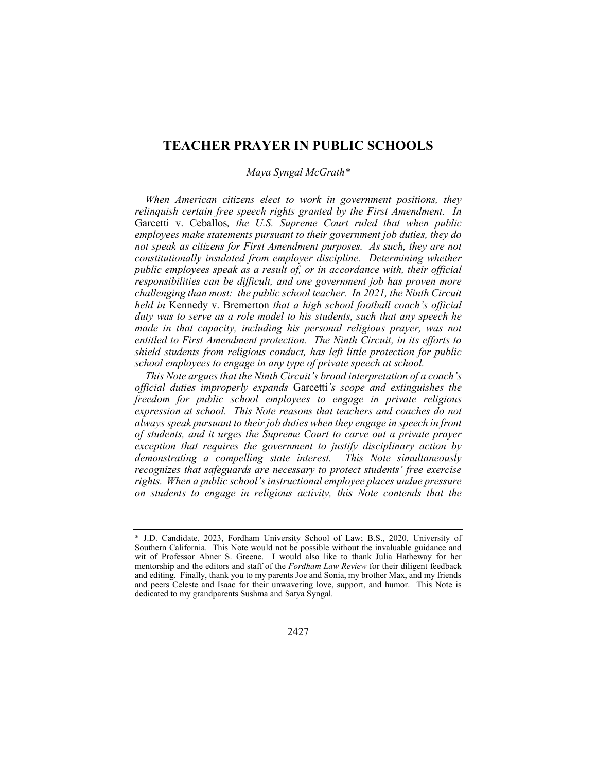# TEACHER PRAYER IN PUBLIC SCHOOLS

### Maya Syngal McGrath\*

When American citizens elect to work in government positions, they relinquish certain free speech rights granted by the First Amendment. In Garcetti v. Ceballos, the U.S. Supreme Court ruled that when public employees make statements pursuant to their government job duties, they do not speak as citizens for First Amendment purposes. As such, they are not constitutionally insulated from employer discipline. Determining whether public employees speak as a result of, or in accordance with, their official responsibilities can be difficult, and one government job has proven more challenging than most: the public school teacher. In 2021, the Ninth Circuit held in Kennedy v. Bremerton that a high school football coach's official duty was to serve as a role model to his students, such that any speech he made in that capacity, including his personal religious prayer, was not entitled to First Amendment protection. The Ninth Circuit, in its efforts to shield students from religious conduct, has left little protection for public school employees to engage in any type of private speech at school.

This Note argues that the Ninth Circuit's broad interpretation of a coach's official duties improperly expands Garcetti's scope and extinguishes the freedom for public school employees to engage in private religious expression at school. This Note reasons that teachers and coaches do not always speak pursuant to their job duties when they engage in speech in front of students, and it urges the Supreme Court to carve out a private prayer exception that requires the government to justify disciplinary action by demonstrating a compelling state interest. This Note simultaneously recognizes that safeguards are necessary to protect students' free exercise rights. When a public school's instructional employee places undue pressure on students to engage in religious activity, this Note contends that the

<sup>\*</sup> J.D. Candidate, 2023, Fordham University School of Law; B.S., 2020, University of Southern California. This Note would not be possible without the invaluable guidance and wit of Professor Abner S. Greene. I would also like to thank Julia Hatheway for her mentorship and the editors and staff of the Fordham Law Review for their diligent feedback and editing. Finally, thank you to my parents Joe and Sonia, my brother Max, and my friends and peers Celeste and Isaac for their unwavering love, support, and humor. This Note is dedicated to my grandparents Sushma and Satya Syngal.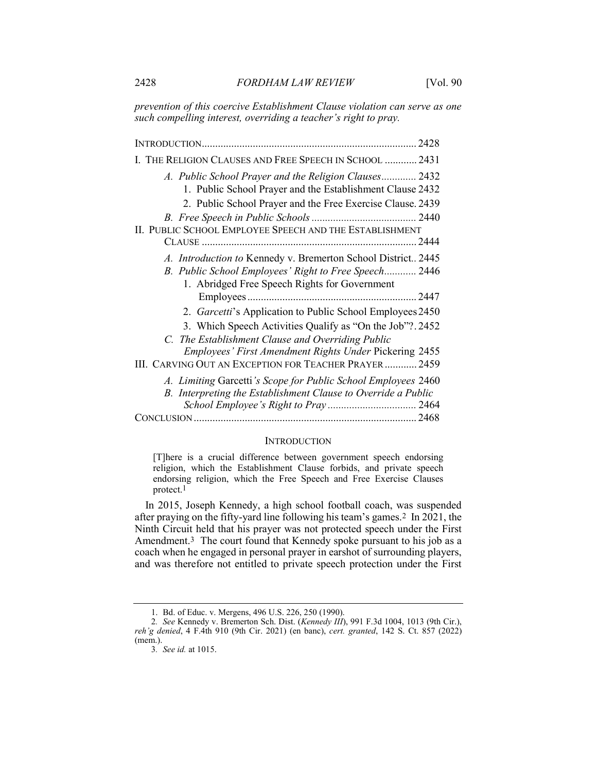prevention of this coercive Establishment Clause violation can serve as one such compelling interest, overriding a teacher's right to pray.

INTRODUCTION ................................................................................ 2428 I. THE RELIGION CLAUSES AND FREE SPEECH IN SCHOOL ............ 2431 A. Public School Prayer and the Religion Clauses ............. 2432 1. Public School Prayer and the Establishment Clause 2432 2. Public School Prayer and the Free Exercise Clause. 2439 B. Free Speech in Public Schools ....................................... 2440 II. PUBLIC SCHOOL EMPLOYEE SPEECH AND THE ESTABLISHMENT CLAUSE ................................................................................ 2444 A. Introduction to Kennedy v. Bremerton School District.. 2445 B. Public School Employees' Right to Free Speech............ 2446 1. Abridged Free Speech Rights for Government Employees ............................................................... 2447 2. Garcetti's Application to Public School Employees 2450 3. Which Speech Activities Qualify as "On the Job"? . 2452 C. The Establishment Clause and Overriding Public Employees' First Amendment Rights Under Pickering 2455 III. CARVING OUT AN EXCEPTION FOR TEACHER PRAYER ............ 2459 A. Limiting Garcetti's Scope for Public School Employees 2460 B. Interpreting the Establishment Clause to Override a Public School Employee's Right to Pray ................................. 2464 CONCLUSION ................................................................................... 2468

#### **INTRODUCTION**

[T]here is a crucial difference between government speech endorsing religion, which the Establishment Clause forbids, and private speech endorsing religion, which the Free Speech and Free Exercise Clauses protect.1

In 2015, Joseph Kennedy, a high school football coach, was suspended after praying on the fifty-yard line following his team's games.2 In 2021, the Ninth Circuit held that his prayer was not protected speech under the First Amendment.<sup>3</sup> The court found that Kennedy spoke pursuant to his job as a coach when he engaged in personal prayer in earshot of surrounding players, and was therefore not entitled to private speech protection under the First

 <sup>1.</sup> Bd. of Educ. v. Mergens, 496 U.S. 226, 250 (1990).

<sup>2.</sup> See Kennedy v. Bremerton Sch. Dist. (Kennedy III), 991 F.3d 1004, 1013 (9th Cir.), reh'g denied, 4 F.4th 910 (9th Cir. 2021) (en banc), cert. granted, 142 S. Ct. 857 (2022) (mem.).

<sup>3</sup>. See id. at 1015.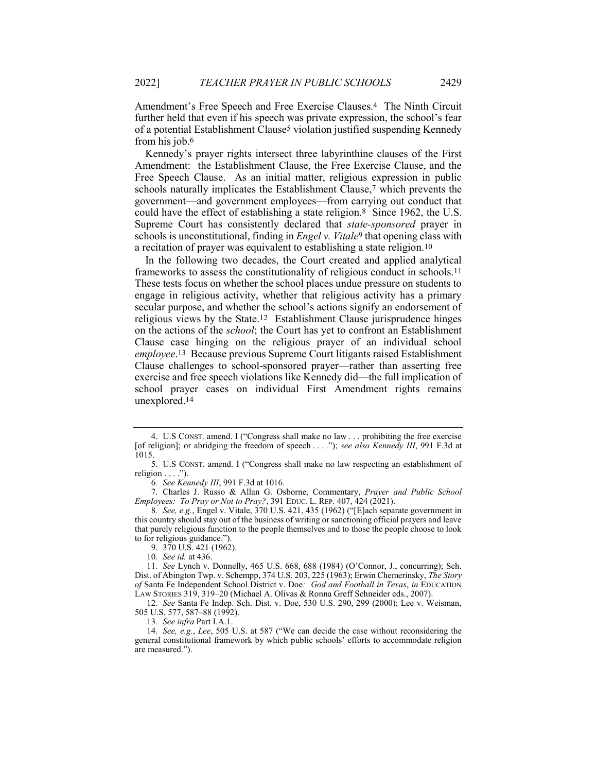Amendment's Free Speech and Free Exercise Clauses.4 The Ninth Circuit further held that even if his speech was private expression, the school's fear of a potential Establishment Clause5 violation justified suspending Kennedy from his job.6

Kennedy's prayer rights intersect three labyrinthine clauses of the First Amendment: the Establishment Clause, the Free Exercise Clause, and the Free Speech Clause. As an initial matter, religious expression in public schools naturally implicates the Establishment Clause,7 which prevents the government—and government employees—from carrying out conduct that could have the effect of establishing a state religion.8 Since 1962, the U.S. Supreme Court has consistently declared that *state-sponsored* prayer in schools is unconstitutional, finding in *Engel v. Vitale*<sup>9</sup> that opening class with a recitation of prayer was equivalent to establishing a state religion.10

In the following two decades, the Court created and applied analytical frameworks to assess the constitutionality of religious conduct in schools.11 These tests focus on whether the school places undue pressure on students to engage in religious activity, whether that religious activity has a primary secular purpose, and whether the school's actions signify an endorsement of religious views by the State.12 Establishment Clause jurisprudence hinges on the actions of the school; the Court has yet to confront an Establishment Clause case hinging on the religious prayer of an individual school employee.13 Because previous Supreme Court litigants raised Establishment Clause challenges to school-sponsored prayer—rather than asserting free exercise and free speech violations like Kennedy did—the full implication of school prayer cases on individual First Amendment rights remains unexplored.14

9. 370 U.S. 421 (1962).

13. See infra Part I.A.1.

14. See, e.g., Lee, 505 U.S. at 587 ("We can decide the case without reconsidering the general constitutional framework by which public schools' efforts to accommodate religion are measured.").

 <sup>4.</sup> U.S CONST. amend. I ("Congress shall make no law . . . prohibiting the free exercise [of religion]; or abridging the freedom of speech . . . ."); see also Kennedy III, 991 F.3d at 1015.

 <sup>5.</sup> U.S CONST. amend. I ("Congress shall make no law respecting an establishment of religion  $\dots$ .").

<sup>6</sup>. See Kennedy III, 991 F.3d at 1016.

 <sup>7.</sup> Charles J. Russo & Allan G. Osborne, Commentary, Prayer and Public School Employees: To Pray or Not to Pray?, 391 EDUC. L. REP. 407, 424 (2021).

<sup>8</sup>. See, e.g., Engel v. Vitale, 370 U.S. 421, 435 (1962) ("[E]ach separate government in this country should stay out of the business of writing or sanctioning official prayers and leave that purely religious function to the people themselves and to those the people choose to look to for religious guidance.").

<sup>10</sup>. See id. at 436.

<sup>11</sup>. See Lynch v. Donnelly, 465 U.S. 668, 688 (1984) (O'Connor, J., concurring); Sch. Dist. of Abington Twp. v. Schempp, 374 U.S. 203, 225 (1963); Erwin Chemerinsky, The Story of Santa Fe Independent School District v. Doe: God and Football in Texas, in EDUCATION LAW STORIES 319, 319–20 (Michael A. Olivas & Ronna Greff Schneider eds., 2007).

<sup>12</sup>. See Santa Fe Indep. Sch. Dist. v. Doe, 530 U.S. 290, 299 (2000); Lee v. Weisman, 505 U.S. 577, 587–88 (1992).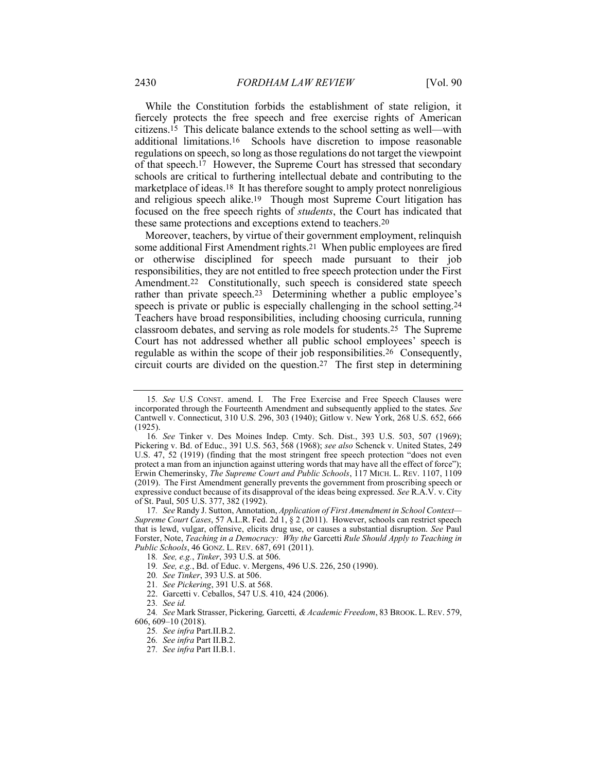While the Constitution forbids the establishment of state religion, it fiercely protects the free speech and free exercise rights of American citizens.15 This delicate balance extends to the school setting as well—with additional limitations.16 Schools have discretion to impose reasonable regulations on speech, so long as those regulations do not target the viewpoint of that speech.17 However, the Supreme Court has stressed that secondary schools are critical to furthering intellectual debate and contributing to the marketplace of ideas.18 It has therefore sought to amply protect nonreligious and religious speech alike.19 Though most Supreme Court litigation has focused on the free speech rights of students, the Court has indicated that these same protections and exceptions extend to teachers.20

Moreover, teachers, by virtue of their government employment, relinquish some additional First Amendment rights.21 When public employees are fired or otherwise disciplined for speech made pursuant to their job responsibilities, they are not entitled to free speech protection under the First Amendment.<sup>22</sup> Constitutionally, such speech is considered state speech rather than private speech.23 Determining whether a public employee's speech is private or public is especially challenging in the school setting.24 Teachers have broad responsibilities, including choosing curricula, running classroom debates, and serving as role models for students.25 The Supreme Court has not addressed whether all public school employees' speech is regulable as within the scope of their job responsibilities.26 Consequently, circuit courts are divided on the question.27 The first step in determining

24. See Mark Strasser, Pickering, Garcetti, & Academic Freedom, 83 BROOK. L. REV. 579, 606, 609–10 (2018).

- 25. See infra Part.II.B.2.
- 26. See infra Part II.B.2.
- 27. See infra Part II.B.1.

<sup>15</sup>. See U.S CONST. amend. I. The Free Exercise and Free Speech Clauses were incorporated through the Fourteenth Amendment and subsequently applied to the states. See Cantwell v. Connecticut, 310 U.S. 296, 303 (1940); Gitlow v. New York, 268 U.S. 652, 666  $(1925)$ 

<sup>16</sup>. See Tinker v. Des Moines Indep. Cmty. Sch. Dist., 393 U.S. 503, 507 (1969); Pickering v. Bd. of Educ., 391 U.S. 563, 568 (1968); see also Schenck v. United States, 249 U.S. 47, 52 (1919) (finding that the most stringent free speech protection "does not even protect a man from an injunction against uttering words that may have all the effect of force"); Erwin Chemerinsky, The Supreme Court and Public Schools, 117 MICH. L. REV. 1107, 1109 (2019). The First Amendment generally prevents the government from proscribing speech or expressive conduct because of its disapproval of the ideas being expressed. See R.A.V. v. City of St. Paul, 505 U.S. 377, 382 (1992).

<sup>17.</sup> See Randy J. Sutton, Annotation, Application of First Amendment in School Context-Supreme Court Cases, 57 A.L.R. Fed. 2d 1, § 2 (2011). However, schools can restrict speech that is lewd, vulgar, offensive, elicits drug use, or causes a substantial disruption. See Paul Forster, Note, Teaching in a Democracy: Why the Garcetti Rule Should Apply to Teaching in Public Schools, 46 GONZ. L. REV. 687, 691 (2011).

<sup>18</sup>. See, e.g., Tinker, 393 U.S. at 506.

<sup>19</sup>. See, e.g., Bd. of Educ. v. Mergens, 496 U.S. 226, 250 (1990).

<sup>20</sup>. See Tinker, 393 U.S. at 506.

<sup>21</sup>. See Pickering, 391 U.S. at 568.

 <sup>22.</sup> Garcetti v. Ceballos, 547 U.S. 410, 424 (2006).

<sup>23</sup>. See id.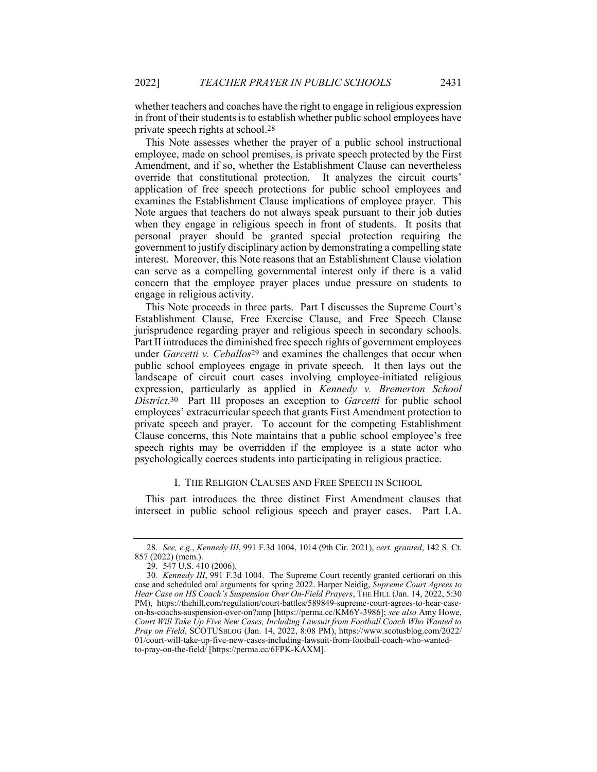whether teachers and coaches have the right to engage in religious expression in front of their students is to establish whether public school employees have private speech rights at school.28

This Note assesses whether the prayer of a public school instructional employee, made on school premises, is private speech protected by the First Amendment, and if so, whether the Establishment Clause can nevertheless override that constitutional protection. It analyzes the circuit courts' application of free speech protections for public school employees and examines the Establishment Clause implications of employee prayer. This Note argues that teachers do not always speak pursuant to their job duties when they engage in religious speech in front of students. It posits that personal prayer should be granted special protection requiring the government to justify disciplinary action by demonstrating a compelling state interest. Moreover, this Note reasons that an Establishment Clause violation can serve as a compelling governmental interest only if there is a valid concern that the employee prayer places undue pressure on students to engage in religious activity.

This Note proceeds in three parts. Part I discusses the Supreme Court's Establishment Clause, Free Exercise Clause, and Free Speech Clause jurisprudence regarding prayer and religious speech in secondary schools. Part II introduces the diminished free speech rights of government employees under Garcetti v. Ceballos<sup>29</sup> and examines the challenges that occur when public school employees engage in private speech. It then lays out the landscape of circuit court cases involving employee-initiated religious expression, particularly as applied in Kennedy v. Bremerton School District.<sup>30</sup> Part III proposes an exception to Garcetti for public school employees' extracurricular speech that grants First Amendment protection to private speech and prayer. To account for the competing Establishment Clause concerns, this Note maintains that a public school employee's free speech rights may be overridden if the employee is a state actor who psychologically coerces students into participating in religious practice.

#### I. THE RELIGION CLAUSES AND FREE SPEECH IN SCHOOL

This part introduces the three distinct First Amendment clauses that intersect in public school religious speech and prayer cases. Part I.A.

<sup>28</sup>. See, e.g., Kennedy III, 991 F.3d 1004, 1014 (9th Cir. 2021), cert. granted, 142 S. Ct. 857 (2022) (mem.).

 <sup>29. 547</sup> U.S. 410 (2006).

<sup>30</sup>. Kennedy III, 991 F.3d 1004. The Supreme Court recently granted certiorari on this case and scheduled oral arguments for spring 2022. Harper Neidig, Supreme Court Agrees to Hear Case on HS Coach's Suspension Over On-Field Prayers, THE HILL (Jan. 14, 2022, 5:30 PM), https://thehill.com/regulation/court-battles/589849-supreme-court-agrees-to-hear-caseon-hs-coachs-suspension-over-on?amp [https://perma.cc/KM6Y-3986]; see also Amy Howe, Court Will Take Up Five New Cases, Including Lawsuit from Football Coach Who Wanted to Pray on Field, SCOTUSBLOG (Jan. 14, 2022, 8:08 PM), https://www.scotusblog.com/2022/ 01/court-will-take-up-five-new-cases-including-lawsuit-from-football-coach-who-wantedto-pray-on-the-field/ [https://perma.cc/6FPK-KAXM].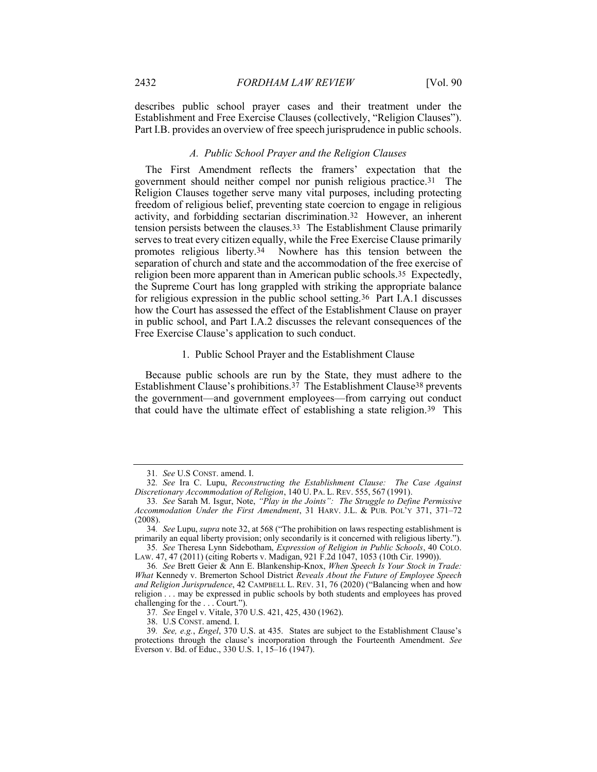describes public school prayer cases and their treatment under the Establishment and Free Exercise Clauses (collectively, "Religion Clauses"). Part I.B. provides an overview of free speech jurisprudence in public schools.

#### A. Public School Prayer and the Religion Clauses

The First Amendment reflects the framers' expectation that the government should neither compel nor punish religious practice.31 The Religion Clauses together serve many vital purposes, including protecting freedom of religious belief, preventing state coercion to engage in religious activity, and forbidding sectarian discrimination.32 However, an inherent tension persists between the clauses.33 The Establishment Clause primarily serves to treat every citizen equally, while the Free Exercise Clause primarily promotes religious liberty.34 Nowhere has this tension between the separation of church and state and the accommodation of the free exercise of religion been more apparent than in American public schools.35 Expectedly, the Supreme Court has long grappled with striking the appropriate balance for religious expression in the public school setting.36 Part I.A.1 discusses how the Court has assessed the effect of the Establishment Clause on prayer in public school, and Part I.A.2 discusses the relevant consequences of the Free Exercise Clause's application to such conduct.

#### 1. Public School Prayer and the Establishment Clause

Because public schools are run by the State, they must adhere to the Establishment Clause's prohibitions.37 The Establishment Clause38 prevents the government—and government employees—from carrying out conduct that could have the ultimate effect of establishing a state religion.<sup>39</sup> This

LAW. 47, 47 (2011) (citing Roberts v. Madigan, 921 F.2d 1047, 1053 (10th Cir. 1990)).

37. See Engel v. Vitale, 370 U.S. 421, 425, 430 (1962).

38. U.S CONST. amend. I.

<sup>31</sup>. See U.S CONST. amend. I.

<sup>32</sup>. See Ira C. Lupu, Reconstructing the Establishment Clause: The Case Against Discretionary Accommodation of Religion, 140 U. PA. L. REV. 555, 567 (1991).

<sup>33</sup>. See Sarah M. Isgur, Note, "Play in the Joints": The Struggle to Define Permissive Accommodation Under the First Amendment, 31 HARV. J.L. & PUB. POL'Y 371, 371–72 (2008).

<sup>34.</sup> See Lupu, supra note 32, at 568 ("The prohibition on laws respecting establishment is primarily an equal liberty provision; only secondarily is it concerned with religious liberty."). 35. See Theresa Lynn Sidebotham, Expression of Religion in Public Schools, 40 COLO.

<sup>36</sup>. See Brett Geier & Ann E. Blankenship-Knox, When Speech Is Your Stock in Trade: What Kennedy v. Bremerton School District Reveals About the Future of Employee Speech and Religion Jurisprudence, 42 CAMPBELL L. REV. 31, 76 (2020) ("Balancing when and how religion . . . may be expressed in public schools by both students and employees has proved challenging for the . . . Court.").

<sup>39</sup>. See, e.g., Engel, 370 U.S. at 435. States are subject to the Establishment Clause's protections through the clause's incorporation through the Fourteenth Amendment. See Everson v. Bd. of Educ., 330 U.S. 1, 15–16 (1947).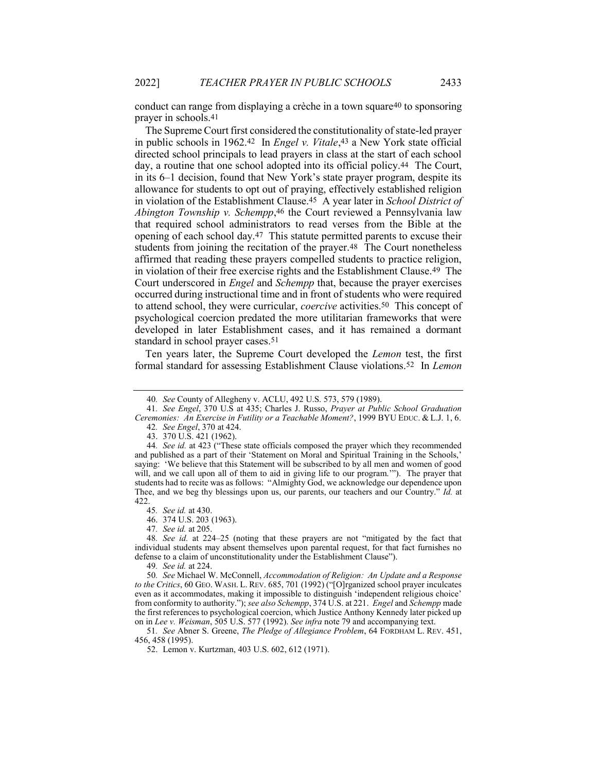conduct can range from displaying a crèche in a town square40 to sponsoring prayer in schools.41

The Supreme Court first considered the constitutionality of state-led prayer in public schools in 1962.42 In Engel v. Vitale,43 a New York state official directed school principals to lead prayers in class at the start of each school day, a routine that one school adopted into its official policy.44 The Court, in its 6–1 decision, found that New York's state prayer program, despite its allowance for students to opt out of praying, effectively established religion in violation of the Establishment Clause.<sup>45</sup> A year later in School District of Abington Township v. Schempp, 46 the Court reviewed a Pennsylvania law that required school administrators to read verses from the Bible at the opening of each school day.47 This statute permitted parents to excuse their students from joining the recitation of the prayer.48 The Court nonetheless affirmed that reading these prayers compelled students to practice religion, in violation of their free exercise rights and the Establishment Clause.49 The Court underscored in Engel and Schempp that, because the prayer exercises occurred during instructional time and in front of students who were required to attend school, they were curricular, coercive activities.50 This concept of psychological coercion predated the more utilitarian frameworks that were developed in later Establishment cases, and it has remained a dormant standard in school prayer cases.51

Ten years later, the Supreme Court developed the Lemon test, the first formal standard for assessing Establishment Clause violations.52 In Lemon

45. See id. at 430.

46. 374 U.S. 203 (1963).

47. See id. at 205.

48. See id. at 224–25 (noting that these prayers are not "mitigated by the fact that individual students may absent themselves upon parental request, for that fact furnishes no defense to a claim of unconstitutionality under the Establishment Clause").

49. See id. at 224.

50. See Michael W. McConnell, Accommodation of Religion: An Update and a Response to the Critics, 60 GEO. WASH. L. REV. 685, 701 (1992) ("[O]rganized school prayer inculcates even as it accommodates, making it impossible to distinguish 'independent religious choice' from conformity to authority."); see also Schempp, 374 U.S. at 221. Engel and Schempp made the first references to psychological coercion, which Justice Anthony Kennedy later picked up on in Lee v. Weisman, 505 U.S. 577 (1992). See infra note 79 and accompanying text.

51. See Abner S. Greene, The Pledge of Allegiance Problem, 64 FORDHAM L. REV. 451, 456, 458 (1995).

52. Lemon v. Kurtzman, 403 U.S. 602, 612 (1971).

<sup>40</sup>. See County of Allegheny v. ACLU, 492 U.S. 573, 579 (1989).

<sup>41</sup>. See Engel, 370 U.S at 435; Charles J. Russo, Prayer at Public School Graduation Ceremonies: An Exercise in Futility or a Teachable Moment?, 1999 BYU EDUC. & L.J. 1, 6. 42. See Engel, 370 at 424.

 <sup>43. 370</sup> U.S. 421 (1962).

<sup>44.</sup> See id. at 423 ("These state officials composed the prayer which they recommended and published as a part of their 'Statement on Moral and Spiritual Training in the Schools,'

saying: 'We believe that this Statement will be subscribed to by all men and women of good will, and we call upon all of them to aid in giving life to our program.'"). The prayer that students had to recite was as follows: "Almighty God, we acknowledge our dependence upon Thee, and we beg thy blessings upon us, our parents, our teachers and our Country." Id. at 422.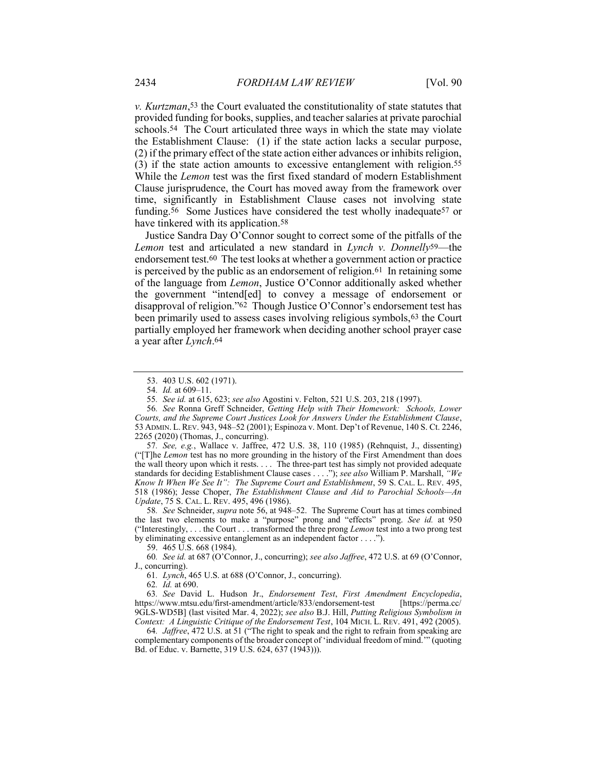v. Kurtzman,53 the Court evaluated the constitutionality of state statutes that provided funding for books, supplies, and teacher salaries at private parochial schools.<sup>54</sup> The Court articulated three ways in which the state may violate the Establishment Clause: (1) if the state action lacks a secular purpose, (2) if the primary effect of the state action either advances or inhibits religion, (3) if the state action amounts to excessive entanglement with religion.55 While the Lemon test was the first fixed standard of modern Establishment Clause jurisprudence, the Court has moved away from the framework over time, significantly in Establishment Clause cases not involving state funding.56 Some Justices have considered the test wholly inadequate57 or have tinkered with its application.<sup>58</sup>

Justice Sandra Day O'Connor sought to correct some of the pitfalls of the Lemon test and articulated a new standard in Lynch v. Donnelly<sup>59</sup>—the endorsement test.60 The test looks at whether a government action or practice is perceived by the public as an endorsement of religion.61 In retaining some of the language from Lemon, Justice O'Connor additionally asked whether the government "intend[ed] to convey a message of endorsement or disapproval of religion."62 Though Justice O'Connor's endorsement test has been primarily used to assess cases involving religious symbols,63 the Court partially employed her framework when deciding another school prayer case a year after Lynch.64

57. See, e.g., Wallace v. Jaffree, 472 U.S. 38, 110 (1985) (Rehnquist, J., dissenting) ("[T]he Lemon test has no more grounding in the history of the First Amendment than does the wall theory upon which it rests. . . . The three-part test has simply not provided adequate standards for deciding Establishment Clause cases . . . ."); see also William P. Marshall, "We Know It When We See It": The Supreme Court and Establishment, 59 S. CAL. L. REV. 495, 518 (1986); Jesse Choper, The Establishment Clause and Aid to Parochial Schools—An Update, 75 S. CAL. L. REV. 495, 496 (1986).

58. See Schneider, supra note 56, at 948–52. The Supreme Court has at times combined the last two elements to make a "purpose" prong and "effects" prong. See id. at 950 ("Interestingly, . . . the Court . . . transformed the three prong Lemon test into a two prong test by eliminating excessive entanglement as an independent factor . . . .").

59. 465 U.S. 668 (1984).

60. See id. at 687 (O'Connor, J., concurring); see also Jaffree, 472 U.S. at 69 (O'Connor, J., concurring).

61. Lynch, 465 U.S. at 688 (O'Connor, J., concurring).

62. Id. at 690.

63. See David L. Hudson Jr., Endorsement Test, First Amendment Encyclopedia, https://www.mtsu.edu/first-amendment/article/833/endorsement-test [https://perma.cc/ 9GLS-WD5B] (last visited Mar. 4, 2022); see also B.J. Hill, Putting Religious Symbolism in Context: A Linguistic Critique of the Endorsement Test, 104 MICH. L. REV. 491, 492 (2005).

64. Jaffree, 472 U.S. at 51 ("The right to speak and the right to refrain from speaking are complementary components of the broader concept of 'individual freedom of mind.'" (quoting Bd. of Educ. v. Barnette, 319 U.S. 624, 637 (1943))).

 <sup>53. 403</sup> U.S. 602 (1971).

<sup>54</sup>. Id. at 609–11.

<sup>55</sup>. See id. at 615, 623; see also Agostini v. Felton, 521 U.S. 203, 218 (1997).

<sup>56</sup>. See Ronna Greff Schneider, Getting Help with Their Homework: Schools, Lower Courts, and the Supreme Court Justices Look for Answers Under the Establishment Clause, 53 ADMIN. L. REV. 943, 948–52 (2001); Espinoza v. Mont. Dep't of Revenue, 140 S. Ct. 2246, 2265 (2020) (Thomas, J., concurring).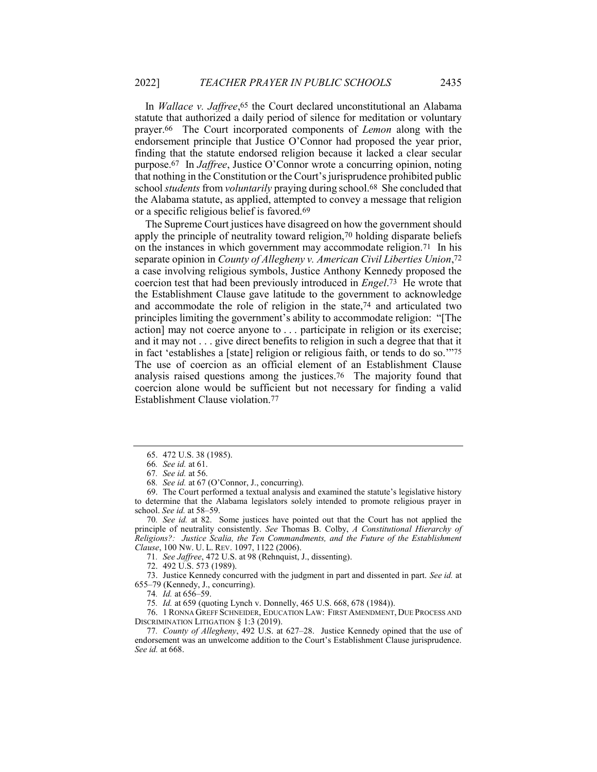In *Wallace v. Jaffree*,<sup>65</sup> the Court declared unconstitutional an Alabama statute that authorized a daily period of silence for meditation or voluntary prayer.66 The Court incorporated components of Lemon along with the endorsement principle that Justice O'Connor had proposed the year prior, finding that the statute endorsed religion because it lacked a clear secular purpose.67 In Jaffree, Justice O'Connor wrote a concurring opinion, noting that nothing in the Constitution or the Court's jurisprudence prohibited public school *students* from *voluntarily* praying during school.<sup>68</sup> She concluded that the Alabama statute, as applied, attempted to convey a message that religion or a specific religious belief is favored.69

The Supreme Court justices have disagreed on how the government should apply the principle of neutrality toward religion,70 holding disparate beliefs on the instances in which government may accommodate religion.71 In his separate opinion in County of Allegheny v. American Civil Liberties Union,<sup>72</sup> a case involving religious symbols, Justice Anthony Kennedy proposed the coercion test that had been previously introduced in Engel.73 He wrote that the Establishment Clause gave latitude to the government to acknowledge and accommodate the role of religion in the state,74 and articulated two principles limiting the government's ability to accommodate religion: "[The action] may not coerce anyone to . . . participate in religion or its exercise; and it may not . . . give direct benefits to religion in such a degree that that it in fact 'establishes a [state] religion or religious faith, or tends to do so.'"75 The use of coercion as an official element of an Establishment Clause analysis raised questions among the justices.76 The majority found that coercion alone would be sufficient but not necessary for finding a valid Establishment Clause violation.77

71. See Jaffree, 472 U.S. at 98 (Rehnquist, J., dissenting).

72. 492 U.S. 573 (1989).

 73. Justice Kennedy concurred with the judgment in part and dissented in part. See id. at 655–79 (Kennedy, J., concurring).

74. Id. at 656–59.

75. Id. at 659 (quoting Lynch v. Donnelly, 465 U.S. 668, 678 (1984)).

 76. 1 RONNA GREFF SCHNEIDER, EDUCATION LAW: FIRST AMENDMENT, DUE PROCESS AND DISCRIMINATION LITIGATION § 1:3 (2019).

77. County of Allegheny, 492 U.S. at 627–28. Justice Kennedy opined that the use of endorsement was an unwelcome addition to the Court's Establishment Clause jurisprudence. See id. at 668.

 <sup>65. 472</sup> U.S. 38 (1985).

<sup>66</sup>. See id. at 61.

<sup>67</sup>. See id. at 56.

<sup>68</sup>. See id. at 67 (O'Connor, J., concurring).

 <sup>69.</sup> The Court performed a textual analysis and examined the statute's legislative history to determine that the Alabama legislators solely intended to promote religious prayer in school. See id. at 58–59.

<sup>70</sup>. See id. at 82. Some justices have pointed out that the Court has not applied the principle of neutrality consistently. See Thomas B. Colby, A Constitutional Hierarchy of Religions?: Justice Scalia, the Ten Commandments, and the Future of the Establishment Clause, 100 NW. U. L. REV. 1097, 1122 (2006).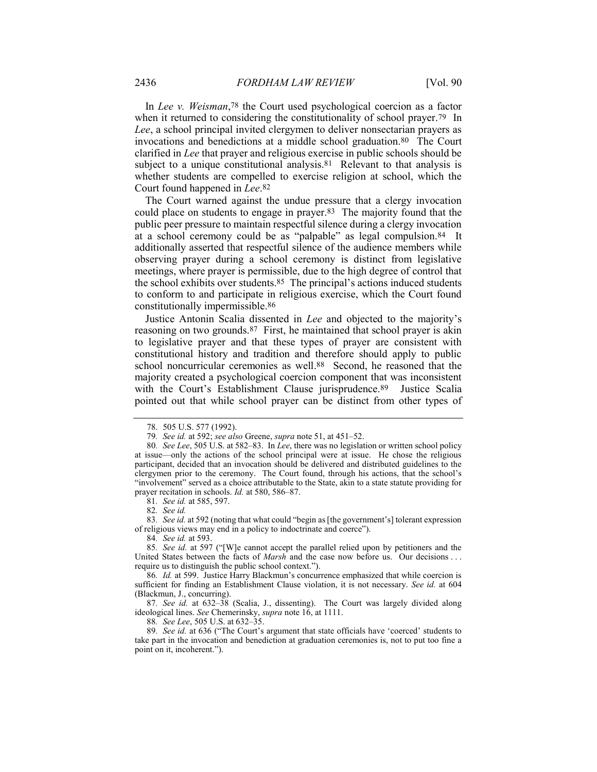In Lee v. Weisman,78 the Court used psychological coercion as a factor when it returned to considering the constitutionality of school prayer.<sup>79</sup> In Lee, a school principal invited clergymen to deliver nonsectarian prayers as invocations and benedictions at a middle school graduation.80 The Court clarified in Lee that prayer and religious exercise in public schools should be subject to a unique constitutional analysis.<sup>81</sup> Relevant to that analysis is whether students are compelled to exercise religion at school, which the Court found happened in Lee.82

The Court warned against the undue pressure that a clergy invocation could place on students to engage in prayer.83 The majority found that the public peer pressure to maintain respectful silence during a clergy invocation at a school ceremony could be as "palpable" as legal compulsion.84 It additionally asserted that respectful silence of the audience members while observing prayer during a school ceremony is distinct from legislative meetings, where prayer is permissible, due to the high degree of control that the school exhibits over students.85 The principal's actions induced students to conform to and participate in religious exercise, which the Court found constitutionally impermissible.86

Justice Antonin Scalia dissented in Lee and objected to the majority's reasoning on two grounds.87 First, he maintained that school prayer is akin to legislative prayer and that these types of prayer are consistent with constitutional history and tradition and therefore should apply to public school noncurricular ceremonies as well.88 Second, he reasoned that the majority created a psychological coercion component that was inconsistent with the Court's Establishment Clause jurisprudence.<sup>89</sup> Justice Scalia pointed out that while school prayer can be distinct from other types of

81. See id. at 585, 597.

83. See id. at 592 (noting that what could "begin as [the government's] tolerant expression of religious views may end in a policy to indoctrinate and coerce").

84. See id. at 593.

88. See Lee, 505 U.S. at 632–35.

89. See id. at 636 ("The Court's argument that state officials have 'coerced' students to take part in the invocation and benediction at graduation ceremonies is, not to put too fine a point on it, incoherent.").

 <sup>78. 505</sup> U.S. 577 (1992).

<sup>79</sup>. See id. at 592; see also Greene, supra note 51, at 451–52.

<sup>80.</sup> See Lee, 505 U.S. at 582–83. In Lee, there was no legislation or written school policy at issue—only the actions of the school principal were at issue. He chose the religious participant, decided that an invocation should be delivered and distributed guidelines to the clergymen prior to the ceremony. The Court found, through his actions, that the school's "involvement" served as a choice attributable to the State, akin to a state statute providing for prayer recitation in schools. Id. at 580, 586–87.

<sup>82</sup>. See id.

<sup>85</sup>. See id. at 597 ("[W]e cannot accept the parallel relied upon by petitioners and the United States between the facts of *Marsh* and the case now before us. Our decisions ... require us to distinguish the public school context.").

<sup>86</sup>. Id. at 599. Justice Harry Blackmun's concurrence emphasized that while coercion is sufficient for finding an Establishment Clause violation, it is not necessary. See id. at 604 (Blackmun, J., concurring).

<sup>87.</sup> See id. at 632-38 (Scalia, J., dissenting). The Court was largely divided along ideological lines. See Chemerinsky, supra note 16, at 1111.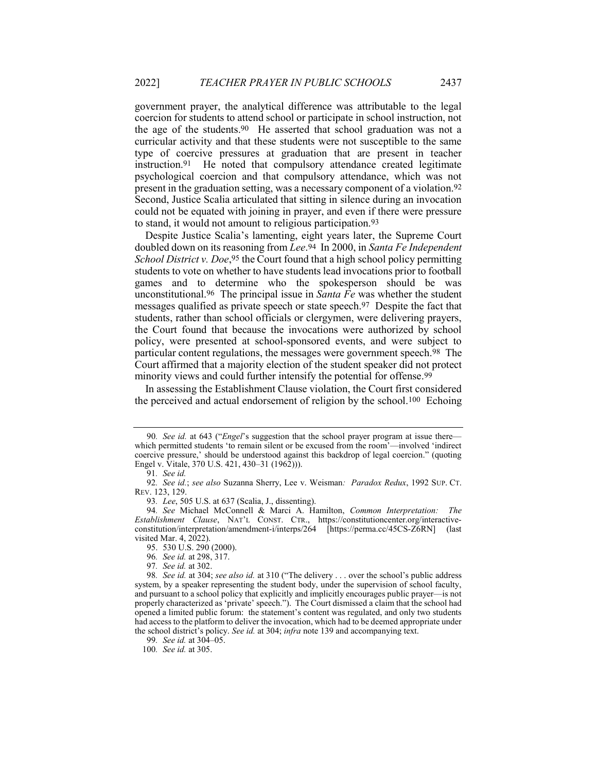government prayer, the analytical difference was attributable to the legal coercion for students to attend school or participate in school instruction, not the age of the students.90 He asserted that school graduation was not a curricular activity and that these students were not susceptible to the same type of coercive pressures at graduation that are present in teacher instruction.91 He noted that compulsory attendance created legitimate psychological coercion and that compulsory attendance, which was not present in the graduation setting, was a necessary component of a violation.92 Second, Justice Scalia articulated that sitting in silence during an invocation could not be equated with joining in prayer, and even if there were pressure to stand, it would not amount to religious participation.93

Despite Justice Scalia's lamenting, eight years later, the Supreme Court doubled down on its reasoning from Lee.<sup>94</sup> In 2000, in Santa Fe Independent School District v. Doe, 95 the Court found that a high school policy permitting students to vote on whether to have students lead invocations prior to football games and to determine who the spokesperson should be was unconstitutional.96 The principal issue in Santa Fe was whether the student messages qualified as private speech or state speech.97 Despite the fact that students, rather than school officials or clergymen, were delivering prayers, the Court found that because the invocations were authorized by school policy, were presented at school-sponsored events, and were subject to particular content regulations, the messages were government speech.98 The Court affirmed that a majority election of the student speaker did not protect minority views and could further intensify the potential for offense.99

In assessing the Establishment Clause violation, the Court first considered the perceived and actual endorsement of religion by the school.100 Echoing

95. 530 U.S. 290 (2000).

96. See id. at 298, 317.

97. See id. at 302.

99. See id. at 304–05.

100. See id. at 305.

<sup>90.</sup> See id. at 643 ("Engel's suggestion that the school prayer program at issue there which permitted students 'to remain silent or be excused from the room'—involved 'indirect coercive pressure,' should be understood against this backdrop of legal coercion." (quoting Engel v. Vitale, 370 U.S. 421, 430–31 (1962))).

<sup>91</sup>. See id.

<sup>92.</sup> See id.; see also Suzanna Sherry, Lee v. Weisman: Paradox Redux, 1992 SUP. CT. REV. 123, 129.

<sup>93</sup>. Lee, 505 U.S. at 637 (Scalia, J., dissenting).

<sup>94</sup>. See Michael McConnell & Marci A. Hamilton, Common Interpretation: The Establishment Clause, NAT'L CONST. CTR., https://constitutioncenter.org/interactiveconstitution/interpretation/amendment-i/interps/264 [https://perma.cc/45CS-Z6RN] (last visited Mar. 4, 2022).

<sup>98.</sup> See id. at 304; see also id. at 310 ("The delivery . . . over the school's public address system, by a speaker representing the student body, under the supervision of school faculty, and pursuant to a school policy that explicitly and implicitly encourages public prayer—is not properly characterized as 'private' speech."). The Court dismissed a claim that the school had opened a limited public forum: the statement's content was regulated, and only two students had access to the platform to deliver the invocation, which had to be deemed appropriate under the school district's policy. See id. at 304; infra note 139 and accompanying text.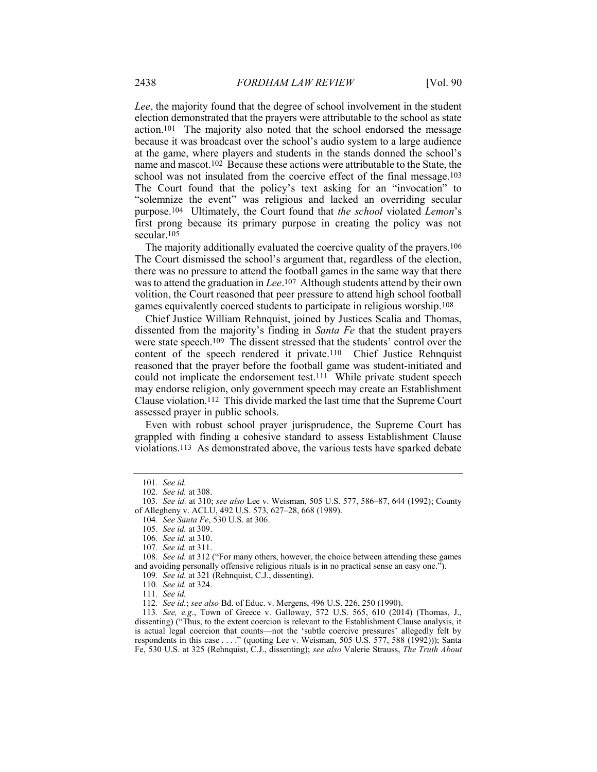Lee, the majority found that the degree of school involvement in the student election demonstrated that the prayers were attributable to the school as state action.101 The majority also noted that the school endorsed the message because it was broadcast over the school's audio system to a large audience at the game, where players and students in the stands donned the school's name and mascot.102 Because these actions were attributable to the State, the school was not insulated from the coercive effect of the final message.103 The Court found that the policy's text asking for an "invocation" to "solemnize the event" was religious and lacked an overriding secular purpose.104 Ultimately, the Court found that the school violated Lemon's first prong because its primary purpose in creating the policy was not secular.105

The majority additionally evaluated the coercive quality of the prayers.106 The Court dismissed the school's argument that, regardless of the election, there was no pressure to attend the football games in the same way that there was to attend the graduation in Lee.<sup>107</sup> Although students attend by their own volition, the Court reasoned that peer pressure to attend high school football games equivalently coerced students to participate in religious worship.108

Chief Justice William Rehnquist, joined by Justices Scalia and Thomas, dissented from the majority's finding in Santa Fe that the student prayers were state speech.109 The dissent stressed that the students' control over the content of the speech rendered it private.110 Chief Justice Rehnquist reasoned that the prayer before the football game was student-initiated and could not implicate the endorsement test.<sup>111</sup> While private student speech may endorse religion, only government speech may create an Establishment Clause violation.112 This divide marked the last time that the Supreme Court assessed prayer in public schools.

Even with robust school prayer jurisprudence, the Supreme Court has grappled with finding a cohesive standard to assess Establishment Clause violations.113 As demonstrated above, the various tests have sparked debate

111. See id.

112. See id.; see also Bd. of Educ. v. Mergens, 496 U.S. 226, 250 (1990).

113. See, e.g., Town of Greece v. Galloway, 572 U.S. 565, 610 (2014) (Thomas, J., dissenting) ("Thus, to the extent coercion is relevant to the Establishment Clause analysis, it is actual legal coercion that counts—not the 'subtle coercive pressures' allegedly felt by respondents in this case . . . ." (quoting Lee v. Weisman, 505 U.S. 577, 588 (1992))); Santa Fe, 530 U.S. at 325 (Rehnquist, C.J., dissenting); see also Valerie Strauss, The Truth About

<sup>101</sup>. See id.

<sup>102</sup>. See id. at 308.

<sup>103</sup>. See id. at 310; see also Lee v. Weisman, 505 U.S. 577, 586–87, 644 (1992); County of Allegheny v. ACLU, 492 U.S. 573, 627–28, 668 (1989).

<sup>104</sup>. See Santa Fe, 530 U.S. at 306.

<sup>105</sup>. See id. at 309.

<sup>106</sup>. See id. at 310.

<sup>107</sup>. See id. at 311.

<sup>108.</sup> See id. at 312 ("For many others, however, the choice between attending these games and avoiding personally offensive religious rituals is in no practical sense an easy one.").

<sup>109</sup>. See id. at 321 (Rehnquist, C.J., dissenting).

<sup>110</sup>. See id. at 324.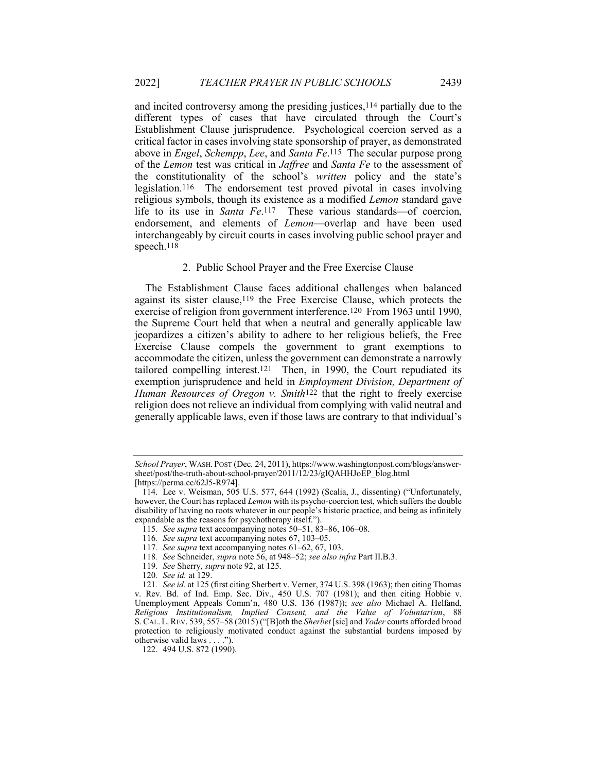and incited controversy among the presiding justices,114 partially due to the different types of cases that have circulated through the Court's Establishment Clause jurisprudence. Psychological coercion served as a critical factor in cases involving state sponsorship of prayer, as demonstrated above in Engel, Schempp, Lee, and Santa Fe.115 The secular purpose prong of the Lemon test was critical in Jaffree and Santa Fe to the assessment of the constitutionality of the school's written policy and the state's legislation.116 The endorsement test proved pivotal in cases involving religious symbols, though its existence as a modified Lemon standard gave life to its use in Santa Fe.117 These various standards—of coercion, endorsement, and elements of Lemon—overlap and have been used interchangeably by circuit courts in cases involving public school prayer and speech.118

#### 2. Public School Prayer and the Free Exercise Clause

The Establishment Clause faces additional challenges when balanced against its sister clause,119 the Free Exercise Clause, which protects the exercise of religion from government interference.120 From 1963 until 1990, the Supreme Court held that when a neutral and generally applicable law jeopardizes a citizen's ability to adhere to her religious beliefs, the Free Exercise Clause compels the government to grant exemptions to accommodate the citizen, unless the government can demonstrate a narrowly tailored compelling interest.121 Then, in 1990, the Court repudiated its exemption jurisprudence and held in Employment Division, Department of Human Resources of Oregon v. Smith<sup>122</sup> that the right to freely exercise religion does not relieve an individual from complying with valid neutral and generally applicable laws, even if those laws are contrary to that individual's

115. See supra text accompanying notes 50–51, 83–86, 106–08.

School Prayer, WASH. POST (Dec. 24, 2011), https://www.washingtonpost.com/blogs/answersheet/post/the-truth-about-school-prayer/2011/12/23/gIQAHHJoEP\_blog.html [https://perma.cc/62J5-R974].

 <sup>114.</sup> Lee v. Weisman, 505 U.S. 577, 644 (1992) (Scalia, J., dissenting) ("Unfortunately, however, the Court has replaced *Lemon* with its psycho-coercion test, which suffers the double disability of having no roots whatever in our people's historic practice, and being as infinitely expandable as the reasons for psychotherapy itself.").

<sup>116</sup>. See supra text accompanying notes 67, 103–05.

<sup>117</sup>. See supra text accompanying notes 61–62, 67, 103.

<sup>118</sup>. See Schneider, supra note 56, at 948–52; see also infra Part II.B.3.

<sup>119</sup>. See Sherry, supra note 92, at 125.

<sup>120</sup>. See id. at 129.

<sup>121</sup>. See id. at 125 (first citing Sherbert v. Verner, 374 U.S. 398 (1963); then citing Thomas v. Rev. Bd. of Ind. Emp. Sec. Div., 450 U.S. 707 (1981); and then citing Hobbie v. Unemployment Appeals Comm'n, 480 U.S. 136 (1987)); see also Michael A. Helfand, Religious Institutionalism, Implied Consent, and the Value of Voluntarism, 88 S. CAL. L.REV. 539, 557–58 (2015) ("[B]oth the Sherbet [sic] and Yoder courts afforded broad protection to religiously motivated conduct against the substantial burdens imposed by otherwise valid laws . . . .").

 <sup>122. 494</sup> U.S. 872 (1990).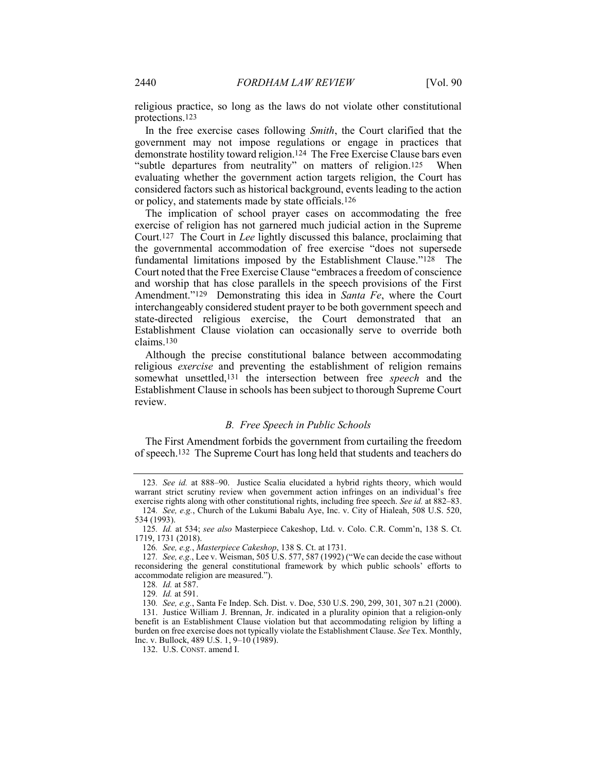religious practice, so long as the laws do not violate other constitutional protections.123

In the free exercise cases following Smith, the Court clarified that the government may not impose regulations or engage in practices that demonstrate hostility toward religion.124 The Free Exercise Clause bars even "subtle departures from neutrality" on matters of religion.<sup>125</sup> When evaluating whether the government action targets religion, the Court has considered factors such as historical background, events leading to the action or policy, and statements made by state officials.126

The implication of school prayer cases on accommodating the free exercise of religion has not garnered much judicial action in the Supreme Court.127 The Court in Lee lightly discussed this balance, proclaiming that the governmental accommodation of free exercise "does not supersede fundamental limitations imposed by the Establishment Clause."128 The Court noted that the Free Exercise Clause "embraces a freedom of conscience and worship that has close parallels in the speech provisions of the First Amendment."<sup>129</sup> Demonstrating this idea in Santa Fe, where the Court interchangeably considered student prayer to be both government speech and state-directed religious exercise, the Court demonstrated that an Establishment Clause violation can occasionally serve to override both claims.130

Although the precise constitutional balance between accommodating religious exercise and preventing the establishment of religion remains somewhat unsettled,<sup>131</sup> the intersection between free *speech* and the Establishment Clause in schools has been subject to thorough Supreme Court review.

#### B. Free Speech in Public Schools

The First Amendment forbids the government from curtailing the freedom of speech.132 The Supreme Court has long held that students and teachers do

<sup>123</sup>. See id. at 888–90. Justice Scalia elucidated a hybrid rights theory, which would warrant strict scrutiny review when government action infringes on an individual's free exercise rights along with other constitutional rights, including free speech. See id. at 882–83.

<sup>124</sup>. See, e.g., Church of the Lukumi Babalu Aye, Inc. v. City of Hialeah, 508 U.S. 520, 534 (1993).

<sup>125.</sup> Id. at 534; see also Masterpiece Cakeshop, Ltd. v. Colo. C.R. Comm'n, 138 S. Ct. 1719, 1731 (2018).

<sup>126</sup>. See, e.g., Masterpiece Cakeshop, 138 S. Ct. at 1731.

<sup>127.</sup> See, e.g., Lee v. Weisman, 505 U.S. 577, 587 (1992) ("We can decide the case without reconsidering the general constitutional framework by which public schools' efforts to accommodate religion are measured.").

<sup>128</sup>. Id. at 587.

<sup>129</sup>. Id. at 591.

<sup>130</sup>. See, e.g., Santa Fe Indep. Sch. Dist. v. Doe, 530 U.S. 290, 299, 301, 307 n.21 (2000).

 <sup>131.</sup> Justice William J. Brennan, Jr. indicated in a plurality opinion that a religion-only benefit is an Establishment Clause violation but that accommodating religion by lifting a burden on free exercise does not typically violate the Establishment Clause. See Tex. Monthly, Inc. v. Bullock, 489 U.S. 1, 9–10 (1989).

 <sup>132.</sup> U.S. CONST. amend I.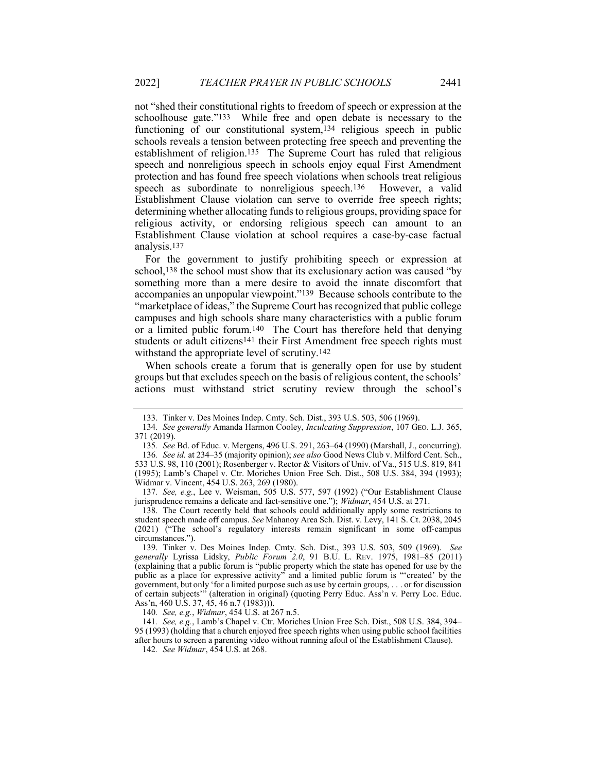not "shed their constitutional rights to freedom of speech or expression at the schoolhouse gate."133 While free and open debate is necessary to the functioning of our constitutional system,134 religious speech in public schools reveals a tension between protecting free speech and preventing the establishment of religion.135 The Supreme Court has ruled that religious speech and nonreligious speech in schools enjoy equal First Amendment protection and has found free speech violations when schools treat religious speech as subordinate to nonreligious speech.136 However, a valid Establishment Clause violation can serve to override free speech rights; determining whether allocating funds to religious groups, providing space for religious activity, or endorsing religious speech can amount to an Establishment Clause violation at school requires a case-by-case factual analysis.137

For the government to justify prohibiting speech or expression at school,138 the school must show that its exclusionary action was caused "by something more than a mere desire to avoid the innate discomfort that accompanies an unpopular viewpoint."139 Because schools contribute to the "marketplace of ideas," the Supreme Court has recognized that public college campuses and high schools share many characteristics with a public forum or a limited public forum.140 The Court has therefore held that denying students or adult citizens<sup>141</sup> their First Amendment free speech rights must withstand the appropriate level of scrutiny.142

When schools create a forum that is generally open for use by student groups but that excludes speech on the basis of religious content, the schools' actions must withstand strict scrutiny review through the school's

140. See, e.g., Widmar, 454 U.S. at 267 n.5.

141. See, e.g., Lamb's Chapel v. Ctr. Moriches Union Free Sch. Dist., 508 U.S. 384, 394– 95 (1993) (holding that a church enjoyed free speech rights when using public school facilities after hours to screen a parenting video without running afoul of the Establishment Clause).

142. See Widmar, 454 U.S. at 268.

 <sup>133.</sup> Tinker v. Des Moines Indep. Cmty. Sch. Dist., 393 U.S. 503, 506 (1969).

<sup>134</sup>. See generally Amanda Harmon Cooley, Inculcating Suppression, 107 GEO. L.J. 365, 371 (2019).

<sup>135</sup>. See Bd. of Educ. v. Mergens, 496 U.S. 291, 263–64 (1990) (Marshall, J., concurring). 136. See id. at 234–35 (majority opinion); see also Good News Club v. Milford Cent. Sch., 533 U.S. 98, 110 (2001); Rosenberger v. Rector & Visitors of Univ. of Va., 515 U.S. 819, 841 (1995); Lamb's Chapel v. Ctr. Moriches Union Free Sch. Dist., 508 U.S. 384, 394 (1993); Widmar v. Vincent, 454 U.S. 263, 269 (1980).

<sup>137</sup>. See, e.g., Lee v. Weisman, 505 U.S. 577, 597 (1992) ("Our Establishment Clause jurisprudence remains a delicate and fact-sensitive one."); Widmar, 454 U.S. at 271.

 <sup>138.</sup> The Court recently held that schools could additionally apply some restrictions to student speech made off campus. See Mahanoy Area Sch. Dist. v. Levy, 141 S. Ct. 2038, 2045 (2021) ("The school's regulatory interests remain significant in some off-campus circumstances.").

 <sup>139.</sup> Tinker v. Des Moines Indep. Cmty. Sch. Dist., 393 U.S. 503, 509 (1969). See generally Lyrissa Lidsky, Public Forum 2.0, 91 B.U. L. REV. 1975, 1981-85 (2011) (explaining that a public forum is "public property which the state has opened for use by the public as a place for expressive activity" and a limited public forum is "'created' by the government, but only 'for a limited purpose such as use by certain groups, . . . or for discussion of certain subjects'" (alteration in original) (quoting Perry Educ. Ass'n v. Perry Loc. Educ. Ass'n, 460 U.S. 37, 45, 46 n.7 (1983))).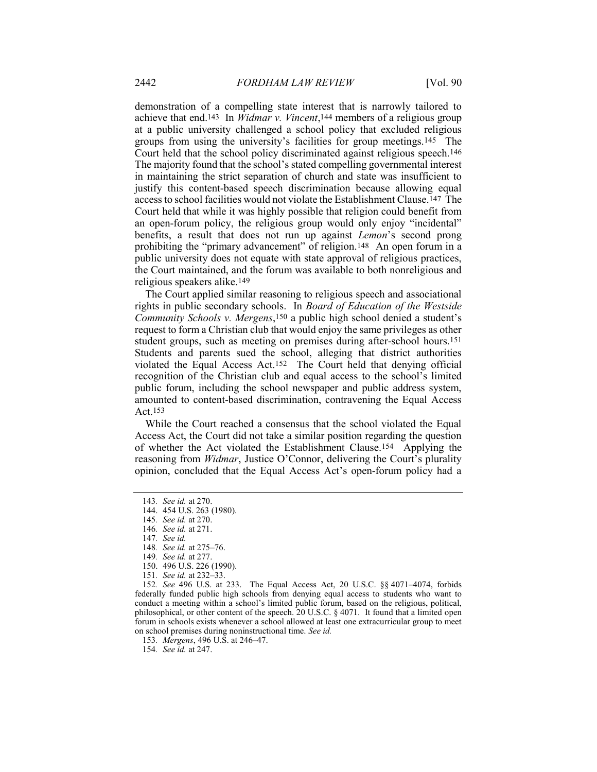demonstration of a compelling state interest that is narrowly tailored to achieve that end.<sup>143</sup> In *Widmar v. Vincent*,<sup>144</sup> members of a religious group at a public university challenged a school policy that excluded religious groups from using the university's facilities for group meetings.145 The Court held that the school policy discriminated against religious speech.146 The majority found that the school's stated compelling governmental interest in maintaining the strict separation of church and state was insufficient to justify this content-based speech discrimination because allowing equal access to school facilities would not violate the Establishment Clause.147 The Court held that while it was highly possible that religion could benefit from an open-forum policy, the religious group would only enjoy "incidental" benefits, a result that does not run up against Lemon's second prong prohibiting the "primary advancement" of religion.148 An open forum in a public university does not equate with state approval of religious practices, the Court maintained, and the forum was available to both nonreligious and religious speakers alike.149

The Court applied similar reasoning to religious speech and associational rights in public secondary schools. In Board of Education of the Westside Community Schools v. Mergens,150 a public high school denied a student's request to form a Christian club that would enjoy the same privileges as other student groups, such as meeting on premises during after-school hours.151 Students and parents sued the school, alleging that district authorities violated the Equal Access Act.152 The Court held that denying official recognition of the Christian club and equal access to the school's limited public forum, including the school newspaper and public address system, amounted to content-based discrimination, contravening the Equal Access Act.153

While the Court reached a consensus that the school violated the Equal Access Act, the Court did not take a similar position regarding the question of whether the Act violated the Establishment Clause.154 Applying the reasoning from *Widmar*, Justice O'Connor, delivering the Court's plurality opinion, concluded that the Equal Access Act's open-forum policy had a

152. See 496 U.S. at 233. The Equal Access Act, 20 U.S.C. §§ 4071–4074, forbids federally funded public high schools from denying equal access to students who want to conduct a meeting within a school's limited public forum, based on the religious, political, philosophical, or other content of the speech. 20 U.S.C. § 4071. It found that a limited open forum in schools exists whenever a school allowed at least one extracurricular group to meet on school premises during noninstructional time. See id.

153. Mergens, 496 U.S. at 246–47.

154. See id. at 247.

<sup>143</sup>. See id. at 270.

 <sup>144. 454</sup> U.S. 263 (1980).

<sup>145</sup>. See id. at 270.

<sup>146</sup>. See id. at 271.

<sup>147</sup>. See id.

<sup>148</sup>. See id. at 275–76.

<sup>149</sup>. See id. at 277.

 <sup>150. 496</sup> U.S. 226 (1990).

<sup>151</sup>. See id. at 232–33.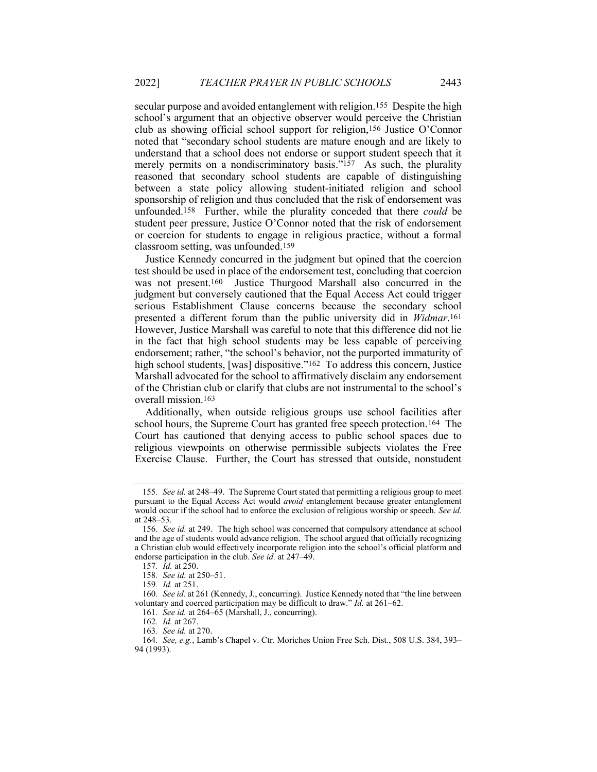secular purpose and avoided entanglement with religion.155 Despite the high school's argument that an objective observer would perceive the Christian club as showing official school support for religion,156 Justice O'Connor noted that "secondary school students are mature enough and are likely to understand that a school does not endorse or support student speech that it merely permits on a nondiscriminatory basis."<sup>157</sup> As such, the plurality reasoned that secondary school students are capable of distinguishing between a state policy allowing student-initiated religion and school sponsorship of religion and thus concluded that the risk of endorsement was unfounded.<sup>158</sup> Further, while the plurality conceded that there *could* be student peer pressure, Justice O'Connor noted that the risk of endorsement or coercion for students to engage in religious practice, without a formal classroom setting, was unfounded.159

Justice Kennedy concurred in the judgment but opined that the coercion test should be used in place of the endorsement test, concluding that coercion was not present.160 Justice Thurgood Marshall also concurred in the judgment but conversely cautioned that the Equal Access Act could trigger serious Establishment Clause concerns because the secondary school presented a different forum than the public university did in Widmar.161 However, Justice Marshall was careful to note that this difference did not lie in the fact that high school students may be less capable of perceiving endorsement; rather, "the school's behavior, not the purported immaturity of high school students, [was] dispositive."<sup>162</sup> To address this concern, Justice Marshall advocated for the school to affirmatively disclaim any endorsement of the Christian club or clarify that clubs are not instrumental to the school's overall mission.163

Additionally, when outside religious groups use school facilities after school hours, the Supreme Court has granted free speech protection.164 The Court has cautioned that denying access to public school spaces due to religious viewpoints on otherwise permissible subjects violates the Free Exercise Clause. Further, the Court has stressed that outside, nonstudent

161. See id. at 264–65 (Marshall, J., concurring).

163. See id. at 270.

<sup>155</sup>. See id. at 248–49. The Supreme Court stated that permitting a religious group to meet pursuant to the Equal Access Act would avoid entanglement because greater entanglement would occur if the school had to enforce the exclusion of religious worship or speech. See id. at 248–53.

<sup>156</sup>. See id. at 249. The high school was concerned that compulsory attendance at school and the age of students would advance religion. The school argued that officially recognizing a Christian club would effectively incorporate religion into the school's official platform and endorse participation in the club. See id. at 247–49.

<sup>157</sup>. Id. at 250.

<sup>158</sup>. See id. at 250–51.

<sup>159</sup>. Id. at 251.

<sup>160</sup>. See id. at 261 (Kennedy, J., concurring). Justice Kennedy noted that "the line between voluntary and coerced participation may be difficult to draw." Id. at 261–62.

<sup>162</sup>. Id. at 267.

<sup>164</sup>. See, e.g., Lamb's Chapel v. Ctr. Moriches Union Free Sch. Dist., 508 U.S. 384, 393– 94 (1993).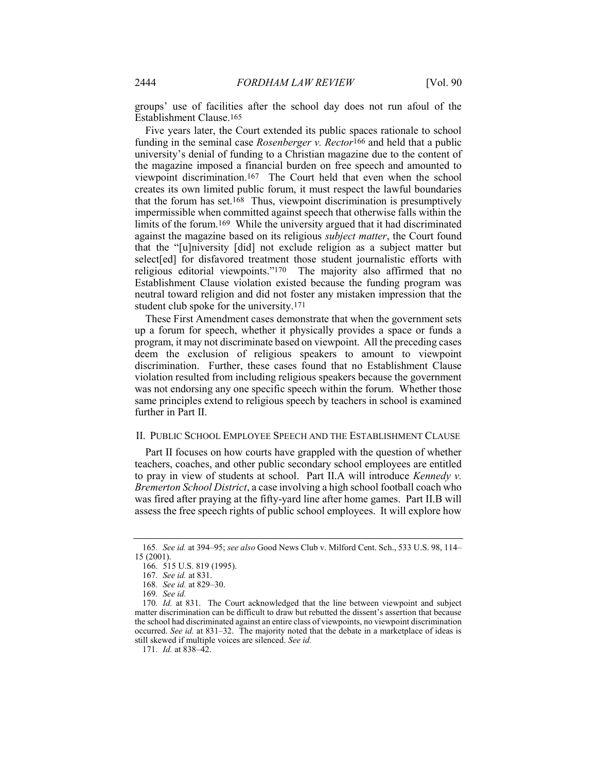groups' use of facilities after the school day does not run afoul of the Establishment Clause.165

Five years later, the Court extended its public spaces rationale to school funding in the seminal case *Rosenberger v. Rector*<sup>166</sup> and held that a public university's denial of funding to a Christian magazine due to the content of the magazine imposed a financial burden on free speech and amounted to viewpoint discrimination.167 The Court held that even when the school creates its own limited public forum, it must respect the lawful boundaries that the forum has set.168 Thus, viewpoint discrimination is presumptively impermissible when committed against speech that otherwise falls within the limits of the forum.169 While the university argued that it had discriminated against the magazine based on its religious subject matter, the Court found that the "[u]niversity [did] not exclude religion as a subject matter but select[ed] for disfavored treatment those student journalistic efforts with religious editorial viewpoints."170 The majority also affirmed that no Establishment Clause violation existed because the funding program was neutral toward religion and did not foster any mistaken impression that the student club spoke for the university.171

These First Amendment cases demonstrate that when the government sets up a forum for speech, whether it physically provides a space or funds a program, it may not discriminate based on viewpoint. All the preceding cases deem the exclusion of religious speakers to amount to viewpoint discrimination. Further, these cases found that no Establishment Clause violation resulted from including religious speakers because the government was not endorsing any one specific speech within the forum. Whether those same principles extend to religious speech by teachers in school is examined further in Part II.

#### II. PUBLIC SCHOOL EMPLOYEE SPEECH AND THE ESTABLISHMENT CLAUSE

Part II focuses on how courts have grappled with the question of whether teachers, coaches, and other public secondary school employees are entitled to pray in view of students at school. Part II.A will introduce Kennedy v. Bremerton School District, a case involving a high school football coach who was fired after praying at the fifty-yard line after home games. Part II.B will assess the free speech rights of public school employees. It will explore how

<sup>165</sup>. See id. at 394–95; see also Good News Club v. Milford Cent. Sch., 533 U.S. 98, 114– 15 (2001).

 <sup>166. 515</sup> U.S. 819 (1995).

<sup>167</sup>. See id. at 831.

<sup>168</sup>. See id. at 829–30.

<sup>169</sup>. See id.

<sup>170</sup>. Id. at 831. The Court acknowledged that the line between viewpoint and subject matter discrimination can be difficult to draw but rebutted the dissent's assertion that because the school had discriminated against an entire class of viewpoints, no viewpoint discrimination occurred. See id. at 831–32. The majority noted that the debate in a marketplace of ideas is still skewed if multiple voices are silenced. See id.

<sup>171.</sup> *Id.* at 838-42.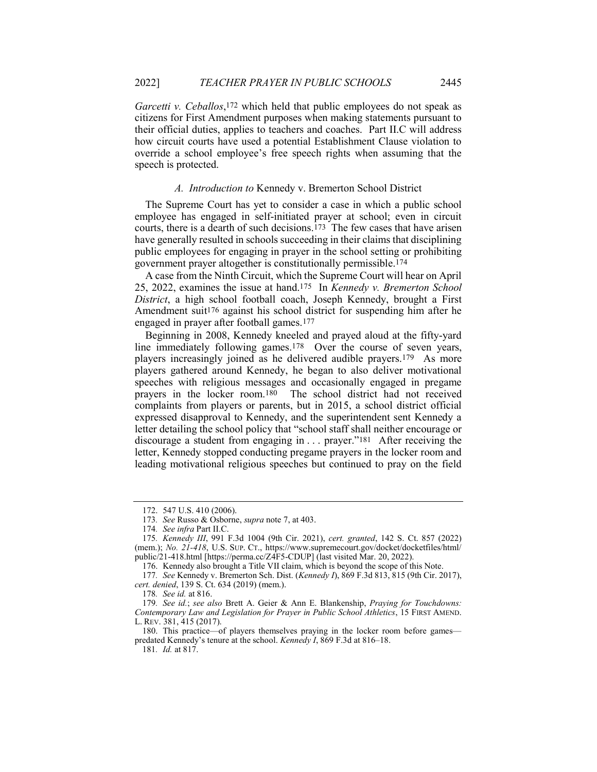Garcetti v. Ceballos,<sup>172</sup> which held that public employees do not speak as citizens for First Amendment purposes when making statements pursuant to their official duties, applies to teachers and coaches. Part II.C will address how circuit courts have used a potential Establishment Clause violation to override a school employee's free speech rights when assuming that the speech is protected.

#### A. Introduction to Kennedy v. Bremerton School District

The Supreme Court has yet to consider a case in which a public school employee has engaged in self-initiated prayer at school; even in circuit courts, there is a dearth of such decisions.173 The few cases that have arisen have generally resulted in schools succeeding in their claims that disciplining public employees for engaging in prayer in the school setting or prohibiting government prayer altogether is constitutionally permissible.174

A case from the Ninth Circuit, which the Supreme Court will hear on April 25, 2022, examines the issue at hand.175 In Kennedy v. Bremerton School District, a high school football coach, Joseph Kennedy, brought a First Amendment suit<sup>176</sup> against his school district for suspending him after he engaged in prayer after football games.177

Beginning in 2008, Kennedy kneeled and prayed aloud at the fifty-yard line immediately following games.178 Over the course of seven years, players increasingly joined as he delivered audible prayers.179 As more players gathered around Kennedy, he began to also deliver motivational speeches with religious messages and occasionally engaged in pregame prayers in the locker room.180 The school district had not received complaints from players or parents, but in 2015, a school district official expressed disapproval to Kennedy, and the superintendent sent Kennedy a letter detailing the school policy that "school staff shall neither encourage or discourage a student from engaging in ... prayer."<sup>181</sup> After receiving the letter, Kennedy stopped conducting pregame prayers in the locker room and leading motivational religious speeches but continued to pray on the field

178. See id. at 816.

 <sup>172. 547</sup> U.S. 410 (2006).

<sup>173</sup>. See Russo & Osborne, supra note 7, at 403.

<sup>174</sup>. See infra Part II.C.

<sup>175</sup>. Kennedy III, 991 F.3d 1004 (9th Cir. 2021), cert. granted, 142 S. Ct. 857 (2022) (mem.); No. 21-418, U.S. SUP. CT., https://www.supremecourt.gov/docket/docketfiles/html/ public/21-418.html [https://perma.cc/Z4F5-CDUP] (last visited Mar. 20, 2022).

 <sup>176.</sup> Kennedy also brought a Title VII claim, which is beyond the scope of this Note.

<sup>177</sup>. See Kennedy v. Bremerton Sch. Dist. (Kennedy I), 869 F.3d 813, 815 (9th Cir. 2017), cert. denied, 139 S. Ct. 634 (2019) (mem.).

<sup>179.</sup> See id.; see also Brett A. Geier & Ann E. Blankenship, Praying for Touchdowns: Contemporary Law and Legislation for Prayer in Public School Athletics, 15 FIRST AMEND. L. REV. 381, 415 (2017).

 <sup>180.</sup> This practice—of players themselves praying in the locker room before games predated Kennedy's tenure at the school. Kennedy I, 869 F.3d at 816–18.

<sup>181</sup>. Id. at 817.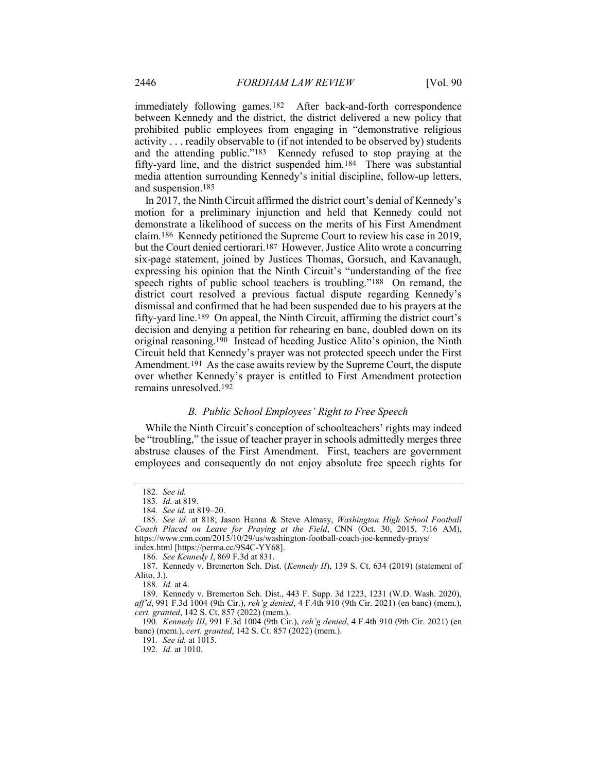immediately following games.182 After back-and-forth correspondence between Kennedy and the district, the district delivered a new policy that prohibited public employees from engaging in "demonstrative religious activity . . . readily observable to (if not intended to be observed by) students and the attending public."183 Kennedy refused to stop praying at the fifty-yard line, and the district suspended him.184 There was substantial media attention surrounding Kennedy's initial discipline, follow-up letters, and suspension.185

In 2017, the Ninth Circuit affirmed the district court's denial of Kennedy's motion for a preliminary injunction and held that Kennedy could not demonstrate a likelihood of success on the merits of his First Amendment claim.186 Kennedy petitioned the Supreme Court to review his case in 2019, but the Court denied certiorari.187 However, Justice Alito wrote a concurring six-page statement, joined by Justices Thomas, Gorsuch, and Kavanaugh, expressing his opinion that the Ninth Circuit's "understanding of the free speech rights of public school teachers is troubling."188 On remand, the district court resolved a previous factual dispute regarding Kennedy's dismissal and confirmed that he had been suspended due to his prayers at the fifty-yard line.189 On appeal, the Ninth Circuit, affirming the district court's decision and denying a petition for rehearing en banc, doubled down on its original reasoning.190 Instead of heeding Justice Alito's opinion, the Ninth Circuit held that Kennedy's prayer was not protected speech under the First Amendment.191 As the case awaits review by the Supreme Court, the dispute over whether Kennedy's prayer is entitled to First Amendment protection remains unresolved.192

## B. Public School Employees' Right to Free Speech

While the Ninth Circuit's conception of schoolteachers' rights may indeed be "troubling," the issue of teacher prayer in schools admittedly merges three abstruse clauses of the First Amendment. First, teachers are government employees and consequently do not enjoy absolute free speech rights for

<sup>182</sup>. See id.

<sup>183</sup>. Id. at 819.

<sup>184</sup>. See id. at 819–20.

<sup>185.</sup> See id. at 818; Jason Hanna & Steve Almasy, Washington High School Football Coach Placed on Leave for Praying at the Field, CNN (Oct. 30, 2015, 7:16 AM), https://www.cnn.com/2015/10/29/us/washington-football-coach-joe-kennedy-prays/ index.html [https://perma.cc/9S4C-YY68].

<sup>186.</sup> See Kennedy I, 869 F.3d at 831.

<sup>187.</sup> Kennedy v. Bremerton Sch. Dist. (Kennedy II), 139 S. Ct. 634 (2019) (statement of Alito, J.).

<sup>188</sup>. Id. at 4.

 <sup>189.</sup> Kennedy v. Bremerton Sch. Dist., 443 F. Supp. 3d 1223, 1231 (W.D. Wash. 2020), aff'd, 991 F.3d 1004 (9th Cir.), reh'g denied, 4 F.4th 910 (9th Cir. 2021) (en banc) (mem.), cert. granted, 142 S. Ct. 857 (2022) (mem.).

<sup>190</sup>. Kennedy III, 991 F.3d 1004 (9th Cir.), reh'g denied, 4 F.4th 910 (9th Cir. 2021) (en banc) (mem.), cert. granted, 142 S. Ct. 857 (2022) (mem.).

<sup>191</sup>. See id. at 1015.

<sup>192</sup>. Id. at 1010.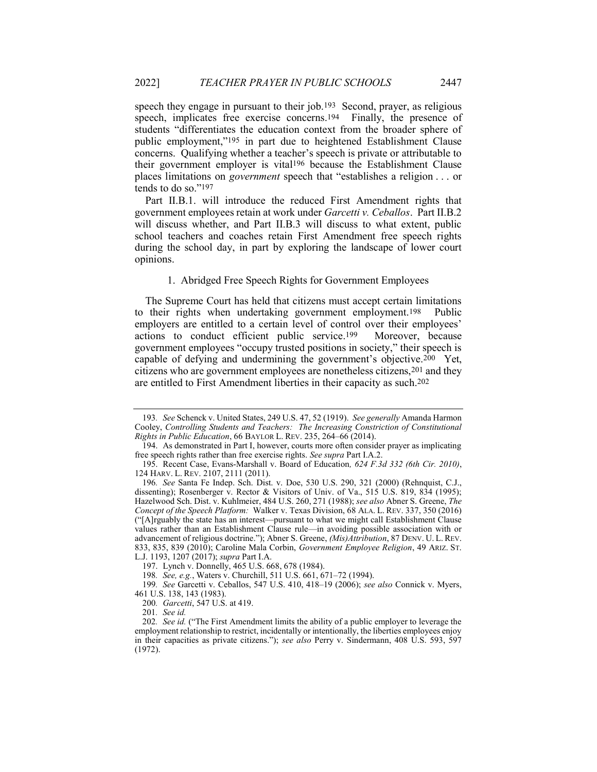speech they engage in pursuant to their job.193 Second, prayer, as religious speech, implicates free exercise concerns.194 Finally, the presence of students "differentiates the education context from the broader sphere of public employment,"195 in part due to heightened Establishment Clause concerns. Qualifying whether a teacher's speech is private or attributable to their government employer is vital196 because the Establishment Clause places limitations on government speech that "establishes a religion . . . or tends to do so."197

Part II.B.1. will introduce the reduced First Amendment rights that government employees retain at work under Garcetti v. Ceballos. Part II.B.2 will discuss whether, and Part II.B.3 will discuss to what extent, public school teachers and coaches retain First Amendment free speech rights during the school day, in part by exploring the landscape of lower court opinions.

#### 1. Abridged Free Speech Rights for Government Employees

The Supreme Court has held that citizens must accept certain limitations to their rights when undertaking government employment.198 Public employers are entitled to a certain level of control over their employees' actions to conduct efficient public service.199 Moreover, because government employees "occupy trusted positions in society," their speech is capable of defying and undermining the government's objective.200 Yet, citizens who are government employees are nonetheless citizens,201 and they are entitled to First Amendment liberties in their capacity as such.202

<sup>193.</sup> See Schenck v. United States, 249 U.S. 47, 52 (1919). See generally Amanda Harmon Cooley, Controlling Students and Teachers: The Increasing Constriction of Constitutional Rights in Public Education, 66 BAYLOR L. REV. 235, 264–66 (2014).

 <sup>194.</sup> As demonstrated in Part I, however, courts more often consider prayer as implicating free speech rights rather than free exercise rights. See supra Part I.A.2.

 <sup>195.</sup> Recent Case, Evans-Marshall v. Board of Education, 624 F.3d 332 (6th Cir. 2010), 124 HARV. L. REV. 2107, 2111 (2011).

<sup>196</sup>. See Santa Fe Indep. Sch. Dist. v. Doe, 530 U.S. 290, 321 (2000) (Rehnquist, C.J., dissenting); Rosenberger v. Rector & Visitors of Univ. of Va., 515 U.S. 819, 834 (1995); Hazelwood Sch. Dist. v. Kuhlmeier, 484 U.S. 260, 271 (1988); see also Abner S. Greene, The Concept of the Speech Platform: Walker v. Texas Division, 68 ALA. L. REV. 337, 350 (2016) ("[A]rguably the state has an interest—pursuant to what we might call Establishment Clause values rather than an Establishment Clause rule—in avoiding possible association with or advancement of religious doctrine."); Abner S. Greene, (Mis)Attribution, 87 DENV. U. L. REV. 833, 835, 839 (2010); Caroline Mala Corbin, Government Employee Religion, 49 ARIZ. ST. L.J. 1193, 1207 (2017); supra Part I.A.

 <sup>197.</sup> Lynch v. Donnelly, 465 U.S. 668, 678 (1984).

<sup>198</sup>. See, e.g., Waters v. Churchill, 511 U.S. 661, 671–72 (1994).

<sup>199</sup>. See Garcetti v. Ceballos, 547 U.S. 410, 418–19 (2006); see also Connick v. Myers, 461 U.S. 138, 143 (1983).

<sup>200.</sup> Garcetti, 547 U.S. at 419.

<sup>201</sup>. See id.

<sup>202.</sup> See id. ("The First Amendment limits the ability of a public employer to leverage the employment relationship to restrict, incidentally or intentionally, the liberties employees enjoy in their capacities as private citizens."); see also Perry v. Sindermann, 408 U.S. 593, 597 (1972).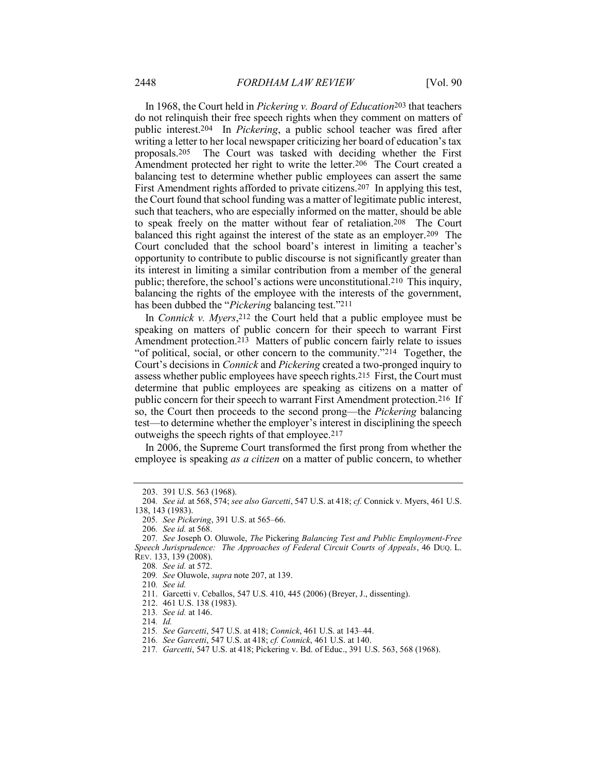In 1968, the Court held in Pickering v. Board of Education<sup>203</sup> that teachers do not relinquish their free speech rights when they comment on matters of public interest.204 In Pickering, a public school teacher was fired after writing a letter to her local newspaper criticizing her board of education's tax proposals.205 The Court was tasked with deciding whether the First Amendment protected her right to write the letter.206 The Court created a balancing test to determine whether public employees can assert the same First Amendment rights afforded to private citizens.207 In applying this test, the Court found that school funding was a matter of legitimate public interest, such that teachers, who are especially informed on the matter, should be able to speak freely on the matter without fear of retaliation.208 The Court balanced this right against the interest of the state as an employer.209 The Court concluded that the school board's interest in limiting a teacher's opportunity to contribute to public discourse is not significantly greater than its interest in limiting a similar contribution from a member of the general public; therefore, the school's actions were unconstitutional.210 This inquiry, balancing the rights of the employee with the interests of the government, has been dubbed the "*Pickering* balancing test."<sup>211</sup>

In *Connick v. Myers*, 212 the Court held that a public employee must be speaking on matters of public concern for their speech to warrant First Amendment protection.213 Matters of public concern fairly relate to issues "of political, social, or other concern to the community."214 Together, the Court's decisions in Connick and Pickering created a two-pronged inquiry to assess whether public employees have speech rights.215 First, the Court must determine that public employees are speaking as citizens on a matter of public concern for their speech to warrant First Amendment protection.216 If so, the Court then proceeds to the second prong—the Pickering balancing test—to determine whether the employer's interest in disciplining the speech outweighs the speech rights of that employee.217

In 2006, the Supreme Court transformed the first prong from whether the employee is speaking *as a citizen* on a matter of public concern, to whether

 <sup>203. 391</sup> U.S. 563 (1968).

<sup>204.</sup> See id. at 568, 574; see also Garcetti, 547 U.S. at 418; cf. Connick v. Myers, 461 U.S. 138, 143 (1983).

<sup>205</sup>. See Pickering, 391 U.S. at 565–66.

<sup>206</sup>. See id. at 568.

<sup>207</sup>. See Joseph O. Oluwole, The Pickering Balancing Test and Public Employment-Free Speech Jurisprudence: The Approaches of Federal Circuit Courts of Appeals, 46 DUQ. L. REV. 133, 139 (2008).

<sup>208</sup>. See id. at 572.

<sup>209</sup>. See Oluwole, supra note 207, at 139.

<sup>210</sup>. See id.

 <sup>211.</sup> Garcetti v. Ceballos, 547 U.S. 410, 445 (2006) (Breyer, J., dissenting).

 <sup>212. 461</sup> U.S. 138 (1983).

<sup>213</sup>. See id. at 146.

<sup>214</sup>. Id.

<sup>215</sup>. See Garcetti, 547 U.S. at 418; Connick, 461 U.S. at 143–44.

<sup>216</sup>. See Garcetti, 547 U.S. at 418; cf. Connick, 461 U.S. at 140.

<sup>217</sup>. Garcetti, 547 U.S. at 418; Pickering v. Bd. of Educ., 391 U.S. 563, 568 (1968).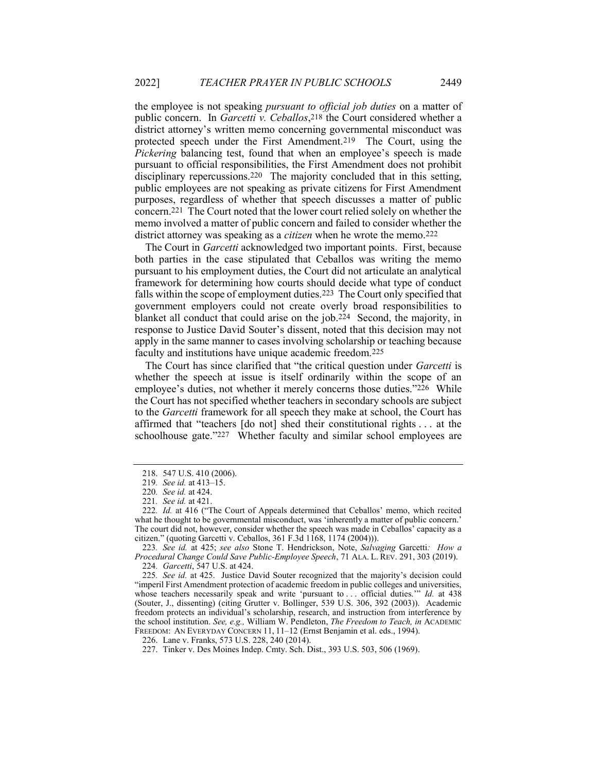the employee is not speaking *pursuant to official job duties* on a matter of public concern. In *Garcetti v. Ceballos*,<sup>218</sup> the Court considered whether a district attorney's written memo concerning governmental misconduct was protected speech under the First Amendment.219 The Court, using the Pickering balancing test, found that when an employee's speech is made pursuant to official responsibilities, the First Amendment does not prohibit disciplinary repercussions.<sup>220</sup> The majority concluded that in this setting, public employees are not speaking as private citizens for First Amendment purposes, regardless of whether that speech discusses a matter of public concern.221 The Court noted that the lower court relied solely on whether the memo involved a matter of public concern and failed to consider whether the district attorney was speaking as a *citizen* when he wrote the memo.<sup>222</sup>

The Court in *Garcetti* acknowledged two important points. First, because both parties in the case stipulated that Ceballos was writing the memo pursuant to his employment duties, the Court did not articulate an analytical framework for determining how courts should decide what type of conduct falls within the scope of employment duties.223 The Court only specified that government employers could not create overly broad responsibilities to blanket all conduct that could arise on the job.224 Second, the majority, in response to Justice David Souter's dissent, noted that this decision may not apply in the same manner to cases involving scholarship or teaching because faculty and institutions have unique academic freedom.225

The Court has since clarified that "the critical question under *Garcetti* is whether the speech at issue is itself ordinarily within the scope of an employee's duties, not whether it merely concerns those duties."226 While the Court has not specified whether teachers in secondary schools are subject to the Garcetti framework for all speech they make at school, the Court has affirmed that "teachers [do not] shed their constitutional rights . . . at the schoolhouse gate."227 Whether faculty and similar school employees are

225. See id. at 425. Justice David Souter recognized that the majority's decision could "imperil First Amendment protection of academic freedom in public colleges and universities, whose teachers necessarily speak and write 'pursuant to ... official duties.'" Id. at 438 (Souter, J., dissenting) (citing Grutter v. Bollinger, 539 U.S. 306, 392 (2003)). Academic freedom protects an individual's scholarship, research, and instruction from interference by the school institution. See, e.g., William W. Pendleton, The Freedom to Teach, in ACADEMIC FREEDOM: AN EVERYDAY CONCERN 11, 11–12 (Ernst Benjamin et al. eds., 1994).

 <sup>218. 547</sup> U.S. 410 (2006).

<sup>219</sup>. See id. at 413–15.

<sup>220</sup>. See id. at 424.

<sup>221</sup>. See id. at 421.

<sup>222</sup>. Id. at 416 ("The Court of Appeals determined that Ceballos' memo, which recited what he thought to be governmental misconduct, was 'inherently a matter of public concern.' The court did not, however, consider whether the speech was made in Ceballos' capacity as a citizen." (quoting Garcetti v. Ceballos, 361 F.3d 1168, 1174 (2004))).

<sup>223</sup>. See id. at 425; see also Stone T. Hendrickson, Note, Salvaging Garcetti: How a Procedural Change Could Save Public-Employee Speech, 71 ALA. L. REV. 291, 303 (2019). 224. Garcetti, 547 U.S. at 424.

 <sup>226.</sup> Lane v. Franks, 573 U.S. 228, 240 (2014).

 <sup>227.</sup> Tinker v. Des Moines Indep. Cmty. Sch. Dist., 393 U.S. 503, 506 (1969).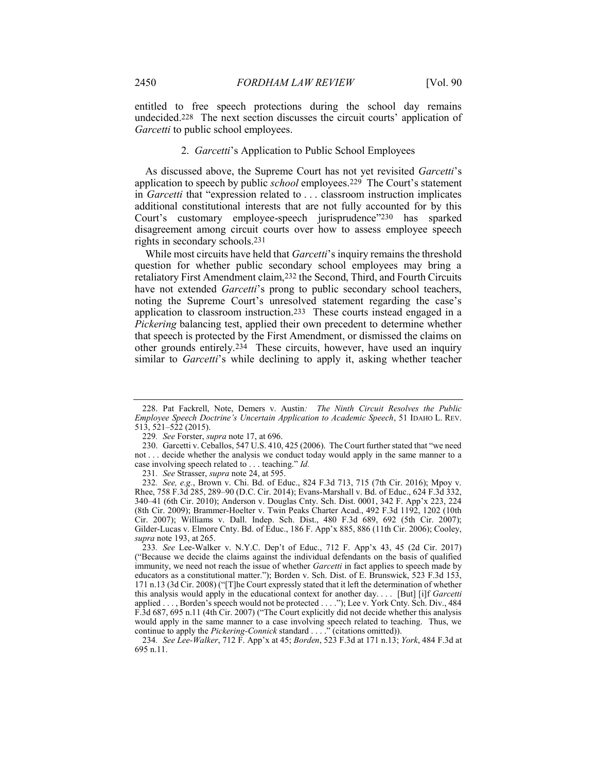entitled to free speech protections during the school day remains undecided.228 The next section discusses the circuit courts' application of Garcetti to public school employees.

#### 2. Garcetti's Application to Public School Employees

As discussed above, the Supreme Court has not yet revisited Garcetti's application to speech by public *school* employees.<sup>229</sup> The Court's statement in Garcetti that "expression related to . . . classroom instruction implicates additional constitutional interests that are not fully accounted for by this Court's customary employee-speech jurisprudence"230 has sparked disagreement among circuit courts over how to assess employee speech rights in secondary schools.231

While most circuits have held that *Garcetti's* inquiry remains the threshold question for whether public secondary school employees may bring a retaliatory First Amendment claim,232 the Second, Third, and Fourth Circuits have not extended Garcetti's prong to public secondary school teachers, noting the Supreme Court's unresolved statement regarding the case's application to classroom instruction.233 These courts instead engaged in a Pickering balancing test, applied their own precedent to determine whether that speech is protected by the First Amendment, or dismissed the claims on other grounds entirely.234 These circuits, however, have used an inquiry similar to Garcetti's while declining to apply it, asking whether teacher

<sup>228.</sup> Pat Fackrell, Note, Demers v. Austin: The Ninth Circuit Resolves the Public Employee Speech Doctrine's Uncertain Application to Academic Speech, 51 IDAHO L. REV. 513, 521–522 (2015).

<sup>229</sup>. See Forster, supra note 17, at 696.

 <sup>230.</sup> Garcetti v. Ceballos, 547 U.S. 410, 425 (2006). The Court further stated that "we need not . . . decide whether the analysis we conduct today would apply in the same manner to a case involving speech related to . . . teaching." Id.

<sup>231.</sup> See Strasser, *supra* note 24, at 595.

<sup>232</sup>. See, e.g., Brown v. Chi. Bd. of Educ., 824 F.3d 713, 715 (7th Cir. 2016); Mpoy v. Rhee, 758 F.3d 285, 289–90 (D.C. Cir. 2014); Evans-Marshall v. Bd. of Educ., 624 F.3d 332, 340–41 (6th Cir. 2010); Anderson v. Douglas Cnty. Sch. Dist. 0001, 342 F. App'x 223, 224 (8th Cir. 2009); Brammer-Hoelter v. Twin Peaks Charter Acad., 492 F.3d 1192, 1202 (10th Cir. 2007); Williams v. Dall. Indep. Sch. Dist., 480 F.3d 689, 692 (5th Cir. 2007); Gilder-Lucas v. Elmore Cnty. Bd. of Educ., 186 F. App'x 885, 886 (11th Cir. 2006); Cooley, supra note 193, at 265.

<sup>233</sup>. See Lee-Walker v. N.Y.C. Dep't of Educ., 712 F. App'x 43, 45 (2d Cir. 2017) ("Because we decide the claims against the individual defendants on the basis of qualified immunity, we need not reach the issue of whether *Garcetti* in fact applies to speech made by educators as a constitutional matter."); Borden v. Sch. Dist. of E. Brunswick, 523 F.3d 153, 171 n.13 (3d Cir. 2008) ("[T]he Court expressly stated that it left the determination of whether this analysis would apply in the educational context for another day.... [But] [i]f Garcetti applied . . . , Borden's speech would not be protected . . . ."); Lee v. York Cnty. Sch. Div., 484 F.3d 687, 695 n.11 (4th Cir. 2007) ("The Court explicitly did not decide whether this analysis would apply in the same manner to a case involving speech related to teaching. Thus, we continue to apply the Pickering-Connick standard . . . . " (citations omitted)).

<sup>234</sup>. See Lee-Walker, 712 F. App'x at 45; Borden, 523 F.3d at 171 n.13; York, 484 F.3d at 695 n.11.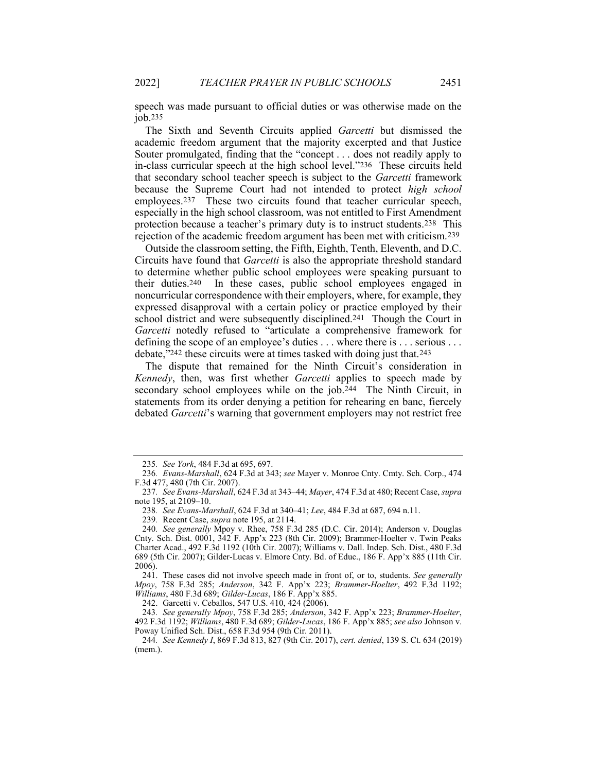speech was made pursuant to official duties or was otherwise made on the job.235

The Sixth and Seventh Circuits applied Garcetti but dismissed the academic freedom argument that the majority excerpted and that Justice Souter promulgated, finding that the "concept . . . does not readily apply to in-class curricular speech at the high school level."236 These circuits held that secondary school teacher speech is subject to the *Garcetti* framework because the Supreme Court had not intended to protect high school employees.237 These two circuits found that teacher curricular speech, especially in the high school classroom, was not entitled to First Amendment protection because a teacher's primary duty is to instruct students.238 This rejection of the academic freedom argument has been met with criticism.239

Outside the classroom setting, the Fifth, Eighth, Tenth, Eleventh, and D.C. Circuits have found that Garcetti is also the appropriate threshold standard to determine whether public school employees were speaking pursuant to their duties.240 In these cases, public school employees engaged in noncurricular correspondence with their employers, where, for example, they expressed disapproval with a certain policy or practice employed by their school district and were subsequently disciplined.241 Though the Court in Garcetti notedly refused to "articulate a comprehensive framework for defining the scope of an employee's duties . . . where there is . . . serious . . . debate,"242 these circuits were at times tasked with doing just that.243

The dispute that remained for the Ninth Circuit's consideration in Kennedy, then, was first whether Garcetti applies to speech made by secondary school employees while on the job.244 The Ninth Circuit, in statements from its order denying a petition for rehearing en banc, fiercely debated Garcetti's warning that government employers may not restrict free

242. Garcetti v. Ceballos, 547 U.S. 410, 424 (2006).

243. See generally Mpoy, 758 F.3d 285; Anderson, 342 F. App'x 223; Brammer-Hoelter, 492 F.3d 1192; Williams, 480 F.3d 689; Gilder-Lucas, 186 F. App'x 885; see also Johnson v. Poway Unified Sch. Dist., 658 F.3d 954 (9th Cir. 2011).

<sup>235</sup>. See York, 484 F.3d at 695, 697.

<sup>236</sup>. Evans-Marshall, 624 F.3d at 343; see Mayer v. Monroe Cnty. Cmty. Sch. Corp., 474 F.3d 477, 480 (7th Cir. 2007).

<sup>237</sup>. See Evans-Marshall, 624 F.3d at 343–44; Mayer, 474 F.3d at 480; Recent Case, supra note 195, at 2109–10.

<sup>238</sup>. See Evans-Marshall, 624 F.3d at 340–41; Lee, 484 F.3d at 687, 694 n.11.

<sup>239</sup>. Recent Case, supra note 195, at 2114.

<sup>240</sup>. See generally Mpoy v. Rhee, 758 F.3d 285 (D.C. Cir. 2014); Anderson v. Douglas Cnty. Sch. Dist. 0001, 342 F. App'x 223 (8th Cir. 2009); Brammer-Hoelter v. Twin Peaks Charter Acad., 492 F.3d 1192 (10th Cir. 2007); Williams v. Dall. Indep. Sch. Dist., 480 F.3d 689 (5th Cir. 2007); Gilder-Lucas v. Elmore Cnty. Bd. of Educ., 186 F. App'x 885 (11th Cir. 2006).

 <sup>241.</sup> These cases did not involve speech made in front of, or to, students. See generally Mpoy, 758 F.3d 285; Anderson, 342 F. App'x 223; Brammer-Hoelter, 492 F.3d 1192; Williams, 480 F.3d 689; Gilder-Lucas, 186 F. App'x 885.

<sup>244</sup>. See Kennedy I, 869 F.3d 813, 827 (9th Cir. 2017), cert. denied, 139 S. Ct. 634 (2019) (mem.).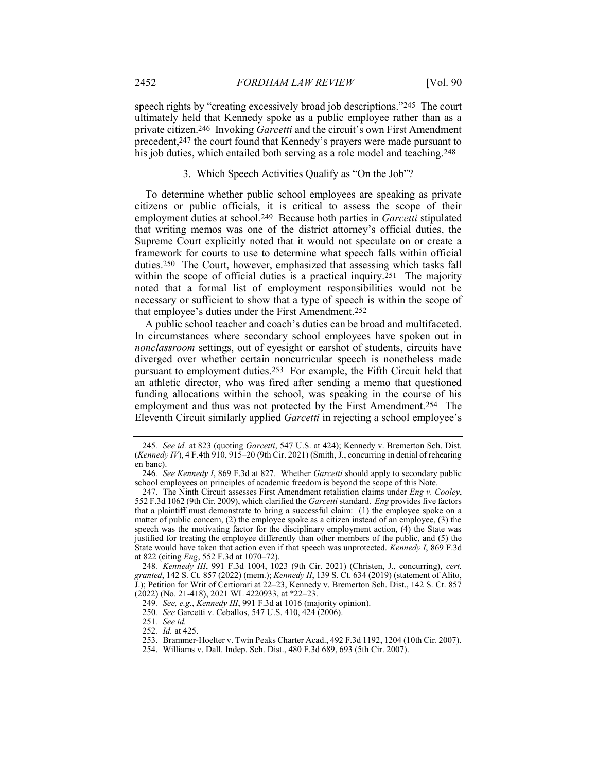speech rights by "creating excessively broad job descriptions."245 The court ultimately held that Kennedy spoke as a public employee rather than as a private citizen.<sup>246</sup> Invoking *Garcetti* and the circuit's own First Amendment precedent,247 the court found that Kennedy's prayers were made pursuant to his job duties, which entailed both serving as a role model and teaching.<sup>248</sup>

#### 3. Which Speech Activities Qualify as "On the Job"?

To determine whether public school employees are speaking as private citizens or public officials, it is critical to assess the scope of their employment duties at school.<sup>249</sup> Because both parties in *Garcetti* stipulated that writing memos was one of the district attorney's official duties, the Supreme Court explicitly noted that it would not speculate on or create a framework for courts to use to determine what speech falls within official duties.250 The Court, however, emphasized that assessing which tasks fall within the scope of official duties is a practical inquiry.<sup>251</sup> The majority noted that a formal list of employment responsibilities would not be necessary or sufficient to show that a type of speech is within the scope of that employee's duties under the First Amendment.252

A public school teacher and coach's duties can be broad and multifaceted. In circumstances where secondary school employees have spoken out in nonclassroom settings, out of eyesight or earshot of students, circuits have diverged over whether certain noncurricular speech is nonetheless made pursuant to employment duties.253 For example, the Fifth Circuit held that an athletic director, who was fired after sending a memo that questioned funding allocations within the school, was speaking in the course of his employment and thus was not protected by the First Amendment.254 The Eleventh Circuit similarly applied Garcetti in rejecting a school employee's

<sup>245</sup>. See id. at 823 (quoting Garcetti, 547 U.S. at 424); Kennedy v. Bremerton Sch. Dist. (Kennedy IV), 4 F.4th 910, 915–20 (9th Cir. 2021) (Smith, J., concurring in denial of rehearing en banc).

<sup>246.</sup> See Kennedy I, 869 F.3d at 827. Whether Garcetti should apply to secondary public school employees on principles of academic freedom is beyond the scope of this Note.

<sup>247.</sup> The Ninth Circuit assesses First Amendment retaliation claims under  $Eng v$ . Cooley, 552 F.3d 1062 (9th Cir. 2009), which clarified the Garcetti standard. Eng provides five factors that a plaintiff must demonstrate to bring a successful claim: (1) the employee spoke on a matter of public concern, (2) the employee spoke as a citizen instead of an employee, (3) the speech was the motivating factor for the disciplinary employment action, (4) the State was justified for treating the employee differently than other members of the public, and (5) the State would have taken that action even if that speech was unprotected. Kennedy I, 869 F.3d at 822 (citing Eng, 552 F.3d at 1070–72).

<sup>248</sup>. Kennedy III, 991 F.3d 1004, 1023 (9th Cir. 2021) (Christen, J., concurring), cert. granted, 142 S. Ct. 857 (2022) (mem.); Kennedy II, 139 S. Ct. 634 (2019) (statement of Alito, J.); Petition for Writ of Certiorari at 22–23, Kennedy v. Bremerton Sch. Dist., 142 S. Ct. 857 (2022) (No. 21-418), 2021 WL 4220933, at \*22–23.

<sup>249</sup>. See, e.g., Kennedy III, 991 F.3d at 1016 (majority opinion).

<sup>250</sup>. See Garcetti v. Ceballos, 547 U.S. 410, 424 (2006).

<sup>251</sup>. See id.

<sup>252</sup>. Id. at 425.

 <sup>253.</sup> Brammer-Hoelter v. Twin Peaks Charter Acad., 492 F.3d 1192, 1204 (10th Cir. 2007).

 <sup>254.</sup> Williams v. Dall. Indep. Sch. Dist., 480 F.3d 689, 693 (5th Cir. 2007).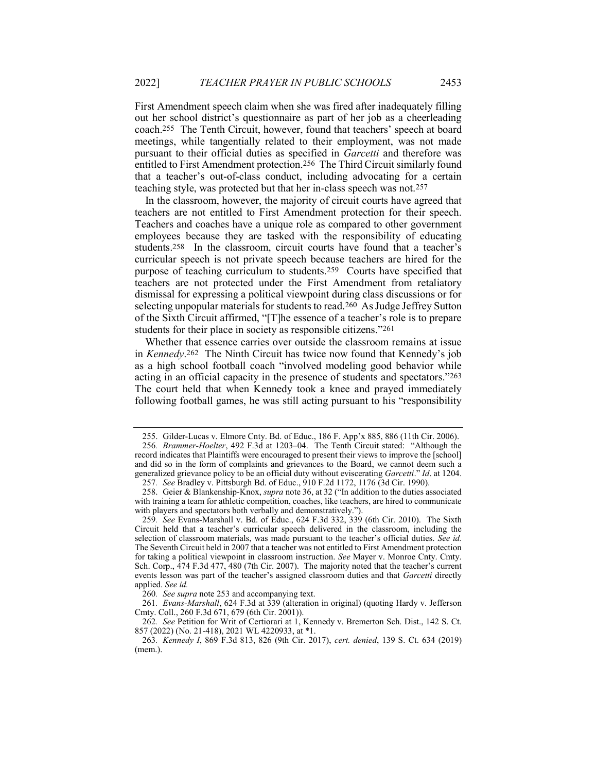First Amendment speech claim when she was fired after inadequately filling out her school district's questionnaire as part of her job as a cheerleading coach.255 The Tenth Circuit, however, found that teachers' speech at board meetings, while tangentially related to their employment, was not made pursuant to their official duties as specified in Garcetti and therefore was entitled to First Amendment protection.256 The Third Circuit similarly found that a teacher's out-of-class conduct, including advocating for a certain teaching style, was protected but that her in-class speech was not.257

In the classroom, however, the majority of circuit courts have agreed that teachers are not entitled to First Amendment protection for their speech. Teachers and coaches have a unique role as compared to other government employees because they are tasked with the responsibility of educating students.258 In the classroom, circuit courts have found that a teacher's curricular speech is not private speech because teachers are hired for the purpose of teaching curriculum to students.259 Courts have specified that teachers are not protected under the First Amendment from retaliatory dismissal for expressing a political viewpoint during class discussions or for selecting unpopular materials for students to read.260 As Judge Jeffrey Sutton of the Sixth Circuit affirmed, "[T]he essence of a teacher's role is to prepare students for their place in society as responsible citizens."261

Whether that essence carries over outside the classroom remains at issue in Kennedy.262 The Ninth Circuit has twice now found that Kennedy's job as a high school football coach "involved modeling good behavior while acting in an official capacity in the presence of students and spectators."263 The court held that when Kennedy took a knee and prayed immediately following football games, he was still acting pursuant to his "responsibility

 <sup>255.</sup> Gilder-Lucas v. Elmore Cnty. Bd. of Educ., 186 F. App'x 885, 886 (11th Cir. 2006).

<sup>256</sup>. Brammer-Hoelter, 492 F.3d at 1203–04. The Tenth Circuit stated: "Although the record indicates that Plaintiffs were encouraged to present their views to improve the [school] and did so in the form of complaints and grievances to the Board, we cannot deem such a generalized grievance policy to be an official duty without eviscerating Garcetti." Id. at 1204.

<sup>257</sup>. See Bradley v. Pittsburgh Bd. of Educ., 910 F.2d 1172, 1176 (3d Cir. 1990).

 <sup>258.</sup> Geier & Blankenship-Knox, supra note 36, at 32 ("In addition to the duties associated with training a team for athletic competition, coaches, like teachers, are hired to communicate with players and spectators both verbally and demonstratively.").

<sup>259</sup>. See Evans-Marshall v. Bd. of Educ., 624 F.3d 332, 339 (6th Cir. 2010). The Sixth Circuit held that a teacher's curricular speech delivered in the classroom, including the selection of classroom materials, was made pursuant to the teacher's official duties. See id. The Seventh Circuit held in 2007 that a teacher was not entitled to First Amendment protection for taking a political viewpoint in classroom instruction. See Mayer v. Monroe Cnty. Cmty. Sch. Corp., 474 F.3d 477, 480 (7th Cir. 2007). The majority noted that the teacher's current events lesson was part of the teacher's assigned classroom duties and that Garcetti directly applied. See id.

<sup>260</sup>. See supra note 253 and accompanying text.

<sup>261</sup>. Evans-Marshall, 624 F.3d at 339 (alteration in original) (quoting Hardy v. Jefferson Cmty. Coll., 260 F.3d 671, 679 (6th Cir. 2001)).

<sup>262</sup>. See Petition for Writ of Certiorari at 1, Kennedy v. Bremerton Sch. Dist., 142 S. Ct. 857 (2022) (No. 21-418), 2021 WL 4220933, at \*1.

<sup>263</sup>. Kennedy I, 869 F.3d 813, 826 (9th Cir. 2017), cert. denied, 139 S. Ct. 634 (2019) (mem.).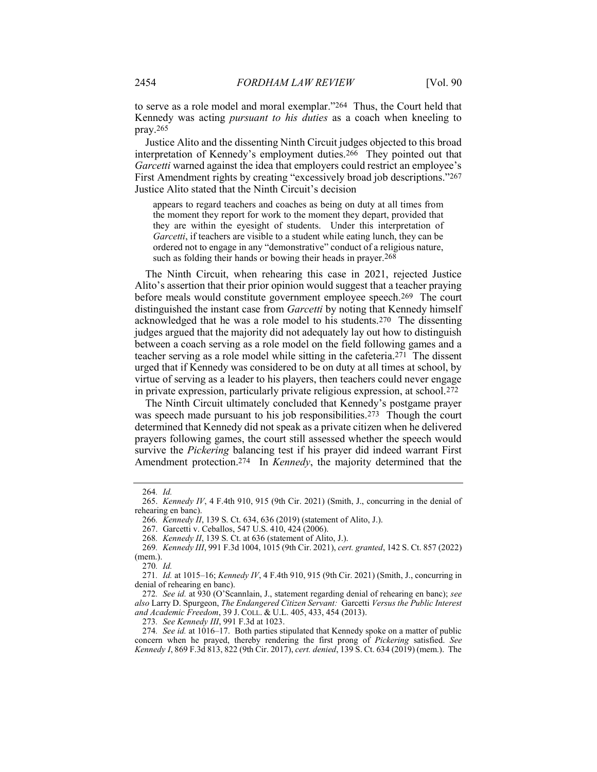to serve as a role model and moral exemplar."264 Thus, the Court held that Kennedy was acting pursuant to his duties as a coach when kneeling to pray.265

Justice Alito and the dissenting Ninth Circuit judges objected to this broad interpretation of Kennedy's employment duties.266 They pointed out that Garcetti warned against the idea that employers could restrict an employee's First Amendment rights by creating "excessively broad job descriptions."267 Justice Alito stated that the Ninth Circuit's decision

appears to regard teachers and coaches as being on duty at all times from the moment they report for work to the moment they depart, provided that they are within the eyesight of students. Under this interpretation of Garcetti, if teachers are visible to a student while eating lunch, they can be ordered not to engage in any "demonstrative" conduct of a religious nature, such as folding their hands or bowing their heads in prayer.<sup>268</sup>

The Ninth Circuit, when rehearing this case in 2021, rejected Justice Alito's assertion that their prior opinion would suggest that a teacher praying before meals would constitute government employee speech.269 The court distinguished the instant case from Garcetti by noting that Kennedy himself acknowledged that he was a role model to his students.270 The dissenting judges argued that the majority did not adequately lay out how to distinguish between a coach serving as a role model on the field following games and a teacher serving as a role model while sitting in the cafeteria.271 The dissent urged that if Kennedy was considered to be on duty at all times at school, by virtue of serving as a leader to his players, then teachers could never engage in private expression, particularly private religious expression, at school.272

The Ninth Circuit ultimately concluded that Kennedy's postgame prayer was speech made pursuant to his job responsibilities.<sup>273</sup> Though the court determined that Kennedy did not speak as a private citizen when he delivered prayers following games, the court still assessed whether the speech would survive the Pickering balancing test if his prayer did indeed warrant First Amendment protection.<sup>274</sup> In *Kennedy*, the majority determined that the

270. Id.

273. See Kennedy III, 991 F.3d at 1023.

<sup>264</sup>. Id.

<sup>265.</sup> *Kennedy IV*, 4 F.4th 910, 915 (9th Cir. 2021) (Smith, J., concurring in the denial of rehearing en banc).

<sup>266</sup>. Kennedy II, 139 S. Ct. 634, 636 (2019) (statement of Alito, J.).

 <sup>267.</sup> Garcetti v. Ceballos, 547 U.S. 410, 424 (2006).

<sup>268</sup>. Kennedy II, 139 S. Ct. at 636 (statement of Alito, J.).

<sup>269</sup>. Kennedy III, 991 F.3d 1004, 1015 (9th Cir. 2021), cert. granted, 142 S. Ct. 857 (2022) (mem.).

<sup>271.</sup> *Id.* at 1015–16; *Kennedy IV*, 4 F.4th 910, 915 (9th Cir. 2021) (Smith, J., concurring in denial of rehearing en banc).

<sup>272</sup>. See id. at 930 (O'Scannlain, J., statement regarding denial of rehearing en banc); see also Larry D. Spurgeon, The Endangered Citizen Servant: Garcetti Versus the Public Interest and Academic Freedom, 39 J. COLL. & U.L. 405, 433, 454 (2013).

<sup>274</sup>. See id. at 1016–17. Both parties stipulated that Kennedy spoke on a matter of public concern when he prayed, thereby rendering the first prong of Pickering satisfied. See Kennedy I, 869 F.3d 813, 822 (9th Cir. 2017), cert. denied, 139 S. Ct. 634 (2019) (mem.). The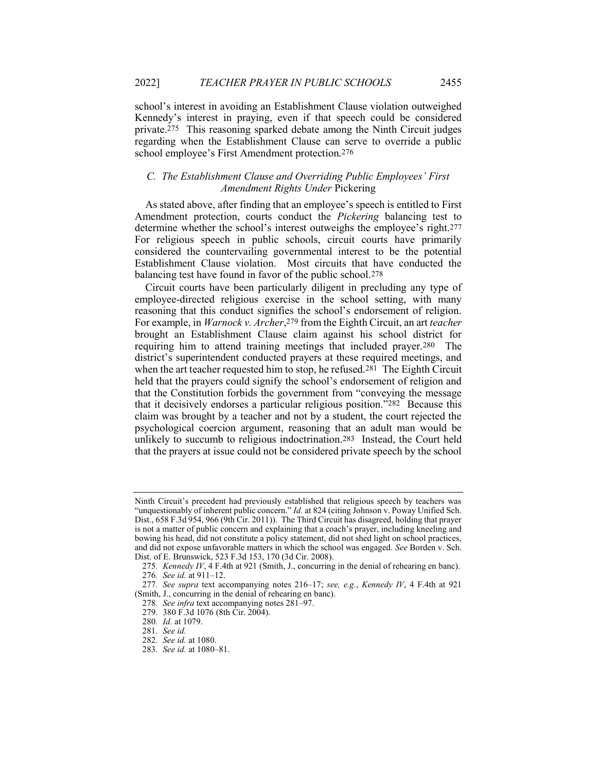school's interest in avoiding an Establishment Clause violation outweighed Kennedy's interest in praying, even if that speech could be considered private.275 This reasoning sparked debate among the Ninth Circuit judges regarding when the Establishment Clause can serve to override a public school employee's First Amendment protection.276

# C. The Establishment Clause and Overriding Public Employees' First Amendment Rights Under Pickering

As stated above, after finding that an employee's speech is entitled to First Amendment protection, courts conduct the Pickering balancing test to determine whether the school's interest outweighs the employee's right.277 For religious speech in public schools, circuit courts have primarily considered the countervailing governmental interest to be the potential Establishment Clause violation. Most circuits that have conducted the balancing test have found in favor of the public school.278

Circuit courts have been particularly diligent in precluding any type of employee-directed religious exercise in the school setting, with many reasoning that this conduct signifies the school's endorsement of religion. For example, in *Warnock v. Archer*,<sup>279</sup> from the Eighth Circuit, an art teacher brought an Establishment Clause claim against his school district for requiring him to attend training meetings that included prayer.280 The district's superintendent conducted prayers at these required meetings, and when the art teacher requested him to stop, he refused.<sup>281</sup> The Eighth Circuit held that the prayers could signify the school's endorsement of religion and that the Constitution forbids the government from "conveying the message that it decisively endorses a particular religious position."282 Because this claim was brought by a teacher and not by a student, the court rejected the psychological coercion argument, reasoning that an adult man would be unlikely to succumb to religious indoctrination.283 Instead, the Court held that the prayers at issue could not be considered private speech by the school

Ninth Circuit's precedent had previously established that religious speech by teachers was "unquestionably of inherent public concern." Id. at 824 (citing Johnson v. Poway Unified Sch. Dist., 658 F.3d 954, 966 (9th Cir. 2011)). The Third Circuit has disagreed, holding that prayer is not a matter of public concern and explaining that a coach's prayer, including kneeling and bowing his head, did not constitute a policy statement, did not shed light on school practices, and did not expose unfavorable matters in which the school was engaged. See Borden v. Sch. Dist. of E. Brunswick, 523 F.3d 153, 170 (3d Cir. 2008).

<sup>275.</sup> *Kennedy IV*,  $4$  F.4th at 921 (Smith, J., concurring in the denial of rehearing en banc). 276. See id. at 911–12.

<sup>277</sup>. See supra text accompanying notes 216–17; see, e.g., Kennedy IV, 4 F.4th at 921 (Smith, J., concurring in the denial of rehearing en banc).

<sup>278</sup>. See infra text accompanying notes 281–97.

 <sup>279. 380</sup> F.3d 1076 (8th Cir. 2004).

<sup>280</sup>. Id. at 1079.

<sup>281</sup>. See id.

<sup>282</sup>. See id. at 1080.

<sup>283</sup>. See id. at 1080–81.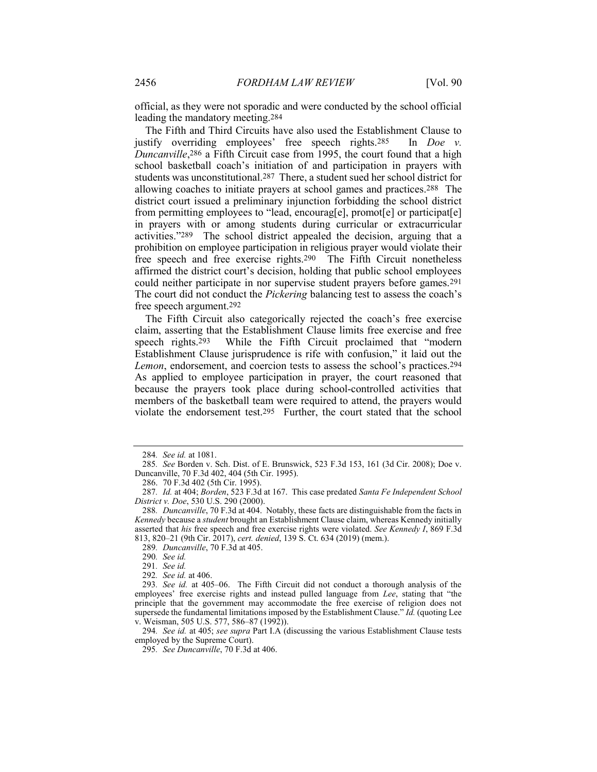official, as they were not sporadic and were conducted by the school official leading the mandatory meeting.284

The Fifth and Third Circuits have also used the Establishment Clause to justify overriding employees' free speech rights.285 In Doe v. Duncanville,<sup>286</sup> a Fifth Circuit case from 1995, the court found that a high school basketball coach's initiation of and participation in prayers with students was unconstitutional.287 There, a student sued her school district for allowing coaches to initiate prayers at school games and practices.288 The district court issued a preliminary injunction forbidding the school district from permitting employees to "lead, encourag[e], promot[e] or participat[e] in prayers with or among students during curricular or extracurricular activities."289 The school district appealed the decision, arguing that a prohibition on employee participation in religious prayer would violate their free speech and free exercise rights.290 The Fifth Circuit nonetheless affirmed the district court's decision, holding that public school employees could neither participate in nor supervise student prayers before games.291 The court did not conduct the *Pickering* balancing test to assess the coach's free speech argument.292

The Fifth Circuit also categorically rejected the coach's free exercise claim, asserting that the Establishment Clause limits free exercise and free speech rights.293 While the Fifth Circuit proclaimed that "modern Establishment Clause jurisprudence is rife with confusion," it laid out the Lemon, endorsement, and coercion tests to assess the school's practices.294 As applied to employee participation in prayer, the court reasoned that because the prayers took place during school-controlled activities that members of the basketball team were required to attend, the prayers would violate the endorsement test.295 Further, the court stated that the school

289. Duncanville, 70 F.3d at 405.

294. See id. at 405; see supra Part I.A (discussing the various Establishment Clause tests employed by the Supreme Court).

<sup>284</sup>. See id. at 1081.

<sup>285</sup>. See Borden v. Sch. Dist. of E. Brunswick, 523 F.3d 153, 161 (3d Cir. 2008); Doe v. Duncanville, 70 F.3d 402, 404 (5th Cir. 1995).

 <sup>286. 70</sup> F.3d 402 (5th Cir. 1995).

<sup>287</sup>. Id. at 404; Borden, 523 F.3d at 167. This case predated Santa Fe Independent School District v. Doe, 530 U.S. 290 (2000).

<sup>288</sup>. Duncanville, 70 F.3d at 404. Notably, these facts are distinguishable from the facts in Kennedy because a student brought an Establishment Clause claim, whereas Kennedy initially asserted that his free speech and free exercise rights were violated. See Kennedy I, 869 F.3d 813, 820–21 (9th Cir. 2017), cert. denied, 139 S. Ct. 634 (2019) (mem.).

<sup>290</sup>. See id.

<sup>291</sup>. See id.

<sup>292</sup>. See id. at 406.

<sup>293</sup>. See id. at 405–06. The Fifth Circuit did not conduct a thorough analysis of the employees' free exercise rights and instead pulled language from Lee, stating that "the principle that the government may accommodate the free exercise of religion does not supersede the fundamental limitations imposed by the Establishment Clause."  $I\bar{d}$ . (quoting Lee v. Weisman, 505 U.S. 577, 586–87 (1992)).

<sup>295</sup>. See Duncanville, 70 F.3d at 406.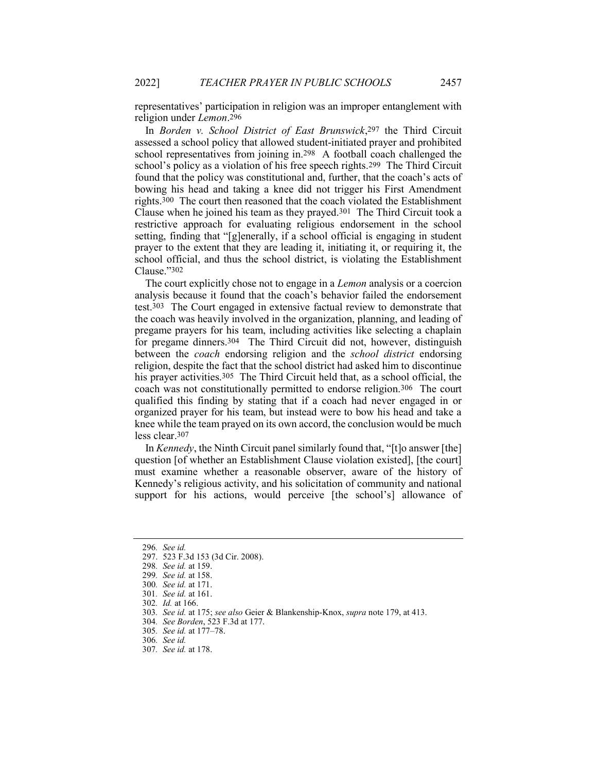representatives' participation in religion was an improper entanglement with religion under Lemon.296

In Borden v. School District of East Brunswick,<sup>297</sup> the Third Circuit assessed a school policy that allowed student-initiated prayer and prohibited school representatives from joining in.298 A football coach challenged the school's policy as a violation of his free speech rights.299 The Third Circuit found that the policy was constitutional and, further, that the coach's acts of bowing his head and taking a knee did not trigger his First Amendment rights.300 The court then reasoned that the coach violated the Establishment Clause when he joined his team as they prayed.301 The Third Circuit took a restrictive approach for evaluating religious endorsement in the school setting, finding that "[g]enerally, if a school official is engaging in student prayer to the extent that they are leading it, initiating it, or requiring it, the school official, and thus the school district, is violating the Establishment Clause."302

The court explicitly chose not to engage in a *Lemon* analysis or a coercion analysis because it found that the coach's behavior failed the endorsement test.303 The Court engaged in extensive factual review to demonstrate that the coach was heavily involved in the organization, planning, and leading of pregame prayers for his team, including activities like selecting a chaplain for pregame dinners.304 The Third Circuit did not, however, distinguish between the coach endorsing religion and the school district endorsing religion, despite the fact that the school district had asked him to discontinue his prayer activities.<sup>305</sup> The Third Circuit held that, as a school official, the coach was not constitutionally permitted to endorse religion.306 The court qualified this finding by stating that if a coach had never engaged in or organized prayer for his team, but instead were to bow his head and take a knee while the team prayed on its own accord, the conclusion would be much less clear.307

In Kennedy, the Ninth Circuit panel similarly found that, "[t]o answer [the] question [of whether an Establishment Clause violation existed], [the court] must examine whether a reasonable observer, aware of the history of Kennedy's religious activity, and his solicitation of community and national support for his actions, would perceive [the school's] allowance of

<sup>296</sup>. See id.

 <sup>297. 523</sup> F.3d 153 (3d Cir. 2008).

<sup>298</sup>. See id. at 159.

<sup>299</sup>. See id. at 158.

<sup>300</sup>. See id. at 171.

<sup>301</sup>. See id. at 161.

<sup>302</sup>. Id. at 166.

<sup>303</sup>. See id. at 175; see also Geier & Blankenship-Knox, supra note 179, at 413.

<sup>304</sup>. See Borden, 523 F.3d at 177.

<sup>305</sup>. See id. at 177–78.

<sup>306</sup>. See id.

<sup>307</sup>. See id. at 178.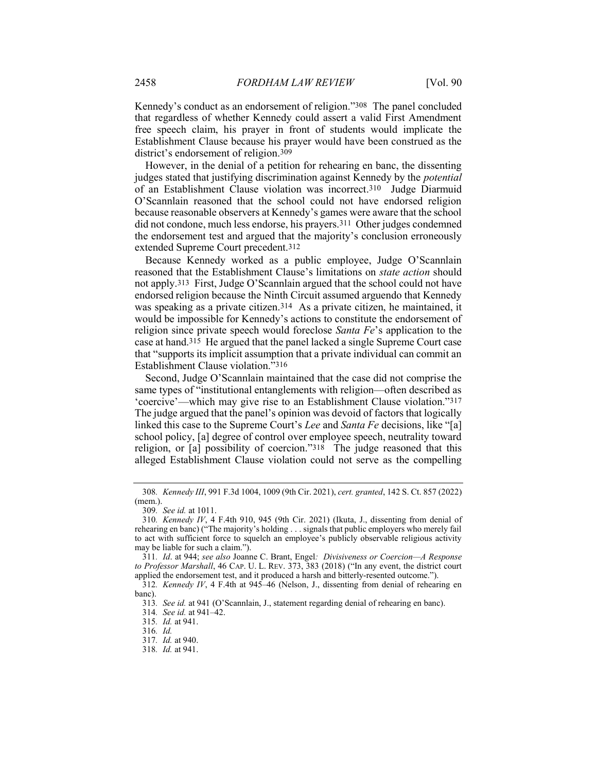Kennedy's conduct as an endorsement of religion."308 The panel concluded that regardless of whether Kennedy could assert a valid First Amendment free speech claim, his prayer in front of students would implicate the Establishment Clause because his prayer would have been construed as the district's endorsement of religion.309

However, in the denial of a petition for rehearing en banc, the dissenting judges stated that justifying discrimination against Kennedy by the potential of an Establishment Clause violation was incorrect.310 Judge Diarmuid O'Scannlain reasoned that the school could not have endorsed religion because reasonable observers at Kennedy's games were aware that the school did not condone, much less endorse, his prayers.311 Other judges condemned the endorsement test and argued that the majority's conclusion erroneously extended Supreme Court precedent.312

Because Kennedy worked as a public employee, Judge O'Scannlain reasoned that the Establishment Clause's limitations on state action should not apply.313 First, Judge O'Scannlain argued that the school could not have endorsed religion because the Ninth Circuit assumed arguendo that Kennedy was speaking as a private citizen.<sup>314</sup> As a private citizen, he maintained, it would be impossible for Kennedy's actions to constitute the endorsement of religion since private speech would foreclose Santa Fe's application to the case at hand.315 He argued that the panel lacked a single Supreme Court case that "supports its implicit assumption that a private individual can commit an Establishment Clause violation."316

Second, Judge O'Scannlain maintained that the case did not comprise the same types of "institutional entanglements with religion—often described as 'coercive'—which may give rise to an Establishment Clause violation."317 The judge argued that the panel's opinion was devoid of factors that logically linked this case to the Supreme Court's Lee and Santa Fe decisions, like "[a] school policy, [a] degree of control over employee speech, neutrality toward religion, or [a] possibility of coercion."318 The judge reasoned that this alleged Establishment Clause violation could not serve as the compelling

<sup>308</sup>. Kennedy III, 991 F.3d 1004, 1009 (9th Cir. 2021), cert. granted, 142 S. Ct. 857 (2022) (mem.).

<sup>309</sup>. See id. at 1011.

<sup>310.</sup> Kennedy IV, 4 F.4th 910, 945 (9th Cir. 2021) (Ikuta, J., dissenting from denial of rehearing en banc) ("The majority's holding . . . signals that public employers who merely fail to act with sufficient force to squelch an employee's publicly observable religious activity may be liable for such a claim.").

<sup>311</sup>. Id. at 944; see also Joanne C. Brant, Engel: Divisiveness or Coercion—A Response to Professor Marshall, 46 CAP. U. L. REV. 373, 383 (2018) ("In any event, the district court applied the endorsement test, and it produced a harsh and bitterly-resented outcome.").

<sup>312</sup>. Kennedy IV, 4 F.4th at 945–46 (Nelson, J., dissenting from denial of rehearing en banc).

<sup>313</sup>. See id. at 941 (O'Scannlain, J., statement regarding denial of rehearing en banc).

<sup>314</sup>. See id. at 941–42.

<sup>315</sup>. Id. at 941.

<sup>316</sup>. Id.

<sup>317</sup>. Id. at 940.

<sup>318</sup>. Id. at 941.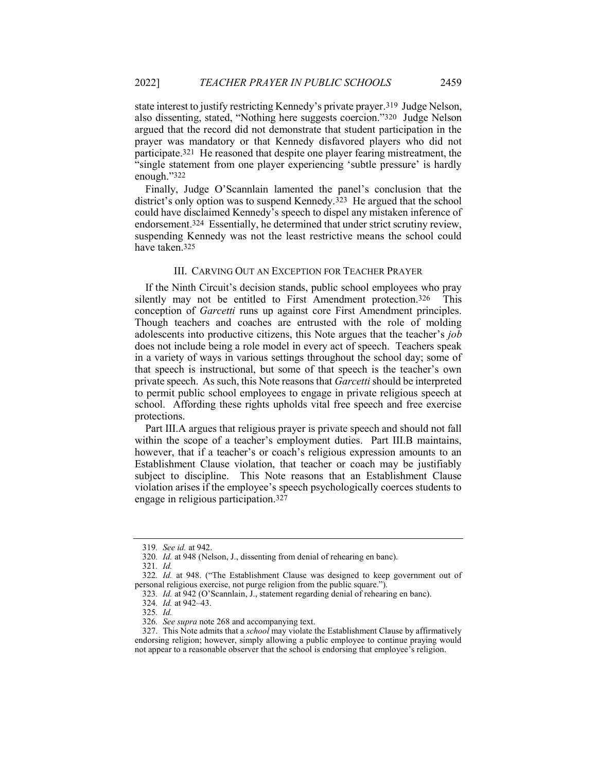state interest to justify restricting Kennedy's private prayer.319 Judge Nelson, also dissenting, stated, "Nothing here suggests coercion."320 Judge Nelson argued that the record did not demonstrate that student participation in the prayer was mandatory or that Kennedy disfavored players who did not participate.321 He reasoned that despite one player fearing mistreatment, the "single statement from one player experiencing 'subtle pressure' is hardly enough."322

Finally, Judge O'Scannlain lamented the panel's conclusion that the district's only option was to suspend Kennedy.323 He argued that the school could have disclaimed Kennedy's speech to dispel any mistaken inference of endorsement.324 Essentially, he determined that under strict scrutiny review, suspending Kennedy was not the least restrictive means the school could have taken.325

#### III. CARVING OUT AN EXCEPTION FOR TEACHER PRAYER

If the Ninth Circuit's decision stands, public school employees who pray silently may not be entitled to First Amendment protection.<sup>326</sup> This conception of Garcetti runs up against core First Amendment principles. Though teachers and coaches are entrusted with the role of molding adolescents into productive citizens, this Note argues that the teacher's job does not include being a role model in every act of speech. Teachers speak in a variety of ways in various settings throughout the school day; some of that speech is instructional, but some of that speech is the teacher's own private speech. As such, this Note reasons that Garcetti should be interpreted to permit public school employees to engage in private religious speech at school. Affording these rights upholds vital free speech and free exercise protections.

Part III.A argues that religious prayer is private speech and should not fall within the scope of a teacher's employment duties. Part III.B maintains, however, that if a teacher's or coach's religious expression amounts to an Establishment Clause violation, that teacher or coach may be justifiably subject to discipline. This Note reasons that an Establishment Clause violation arises if the employee's speech psychologically coerces students to engage in religious participation.327

<sup>319</sup>. See id. at 942.

<sup>320</sup>. Id. at 948 (Nelson, J., dissenting from denial of rehearing en banc).

<sup>321</sup>. Id.

<sup>322</sup>. Id. at 948. ("The Establishment Clause was designed to keep government out of personal religious exercise, not purge religion from the public square.").

<sup>323</sup>. Id. at 942 (O'Scannlain, J., statement regarding denial of rehearing en banc).

<sup>324</sup>. Id. at 942–43.

<sup>325</sup>. Id.

<sup>326</sup>. See supra note 268 and accompanying text.

<sup>327.</sup> This Note admits that a *school* may violate the Establishment Clause by affirmatively endorsing religion; however, simply allowing a public employee to continue praying would not appear to a reasonable observer that the school is endorsing that employee's religion.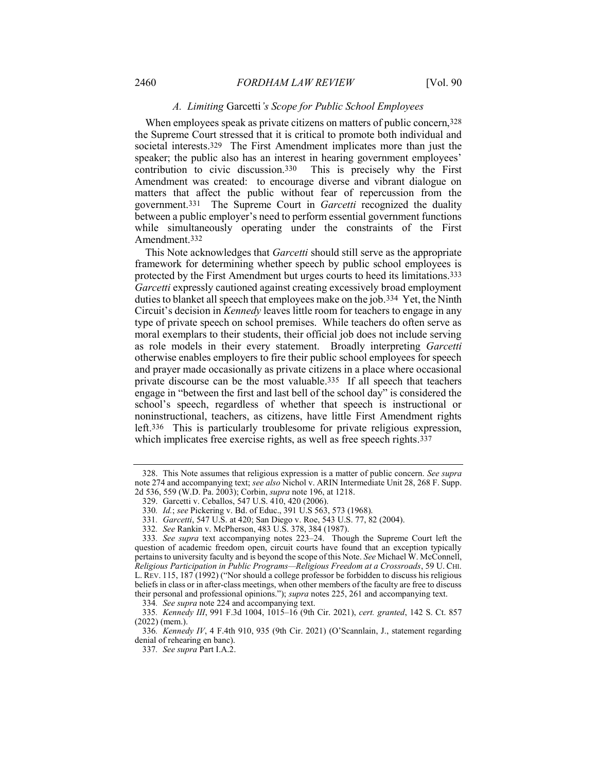#### A. Limiting Garcetti's Scope for Public School Employees

When employees speak as private citizens on matters of public concern, 328 the Supreme Court stressed that it is critical to promote both individual and societal interests.329 The First Amendment implicates more than just the speaker; the public also has an interest in hearing government employees' contribution to civic discussion.330 This is precisely why the First Amendment was created: to encourage diverse and vibrant dialogue on matters that affect the public without fear of repercussion from the government.331 The Supreme Court in Garcetti recognized the duality between a public employer's need to perform essential government functions while simultaneously operating under the constraints of the First Amendment.332

This Note acknowledges that *Garcetti* should still serve as the appropriate framework for determining whether speech by public school employees is protected by the First Amendment but urges courts to heed its limitations.333 Garcetti expressly cautioned against creating excessively broad employment duties to blanket all speech that employees make on the job.334 Yet, the Ninth Circuit's decision in Kennedy leaves little room for teachers to engage in any type of private speech on school premises. While teachers do often serve as moral exemplars to their students, their official job does not include serving as role models in their every statement. Broadly interpreting Garcetti otherwise enables employers to fire their public school employees for speech and prayer made occasionally as private citizens in a place where occasional private discourse can be the most valuable.335 If all speech that teachers engage in "between the first and last bell of the school day" is considered the school's speech, regardless of whether that speech is instructional or noninstructional, teachers, as citizens, have little First Amendment rights left.336 This is particularly troublesome for private religious expression, which implicates free exercise rights, as well as free speech rights.<sup>337</sup>

334. See supra note 224 and accompanying text.

<sup>328.</sup> This Note assumes that religious expression is a matter of public concern. See supra note 274 and accompanying text; see also Nichol v. ARIN Intermediate Unit 28, 268 F. Supp. 2d 536, 559 (W.D. Pa. 2003); Corbin, supra note 196, at 1218.

 <sup>329.</sup> Garcetti v. Ceballos, 547 U.S. 410, 420 (2006).

<sup>330</sup>. Id.; see Pickering v. Bd. of Educ., 391 U.S 563, 573 (1968).

<sup>331</sup>. Garcetti, 547 U.S. at 420; San Diego v. Roe, 543 U.S. 77, 82 (2004).

<sup>332</sup>. See Rankin v. McPherson, 483 U.S. 378, 384 (1987).

<sup>333</sup>. See supra text accompanying notes 223–24. Though the Supreme Court left the question of academic freedom open, circuit courts have found that an exception typically pertains to university faculty and is beyond the scope of this Note. See Michael W. McConnell, Religious Participation in Public Programs—Religious Freedom at a Crossroads, 59 U. CHI. L. REV. 115, 187 (1992) ("Nor should a college professor be forbidden to discuss his religious beliefs in class or in after-class meetings, when other members of the faculty are free to discuss their personal and professional opinions."); supra notes 225, 261 and accompanying text.

<sup>335</sup>. Kennedy III, 991 F.3d 1004, 1015–16 (9th Cir. 2021), cert. granted, 142 S. Ct. 857 (2022) (mem.).

<sup>336</sup>. Kennedy IV, 4 F.4th 910, 935 (9th Cir. 2021) (O'Scannlain, J., statement regarding denial of rehearing en banc).

<sup>337</sup>. See supra Part I.A.2.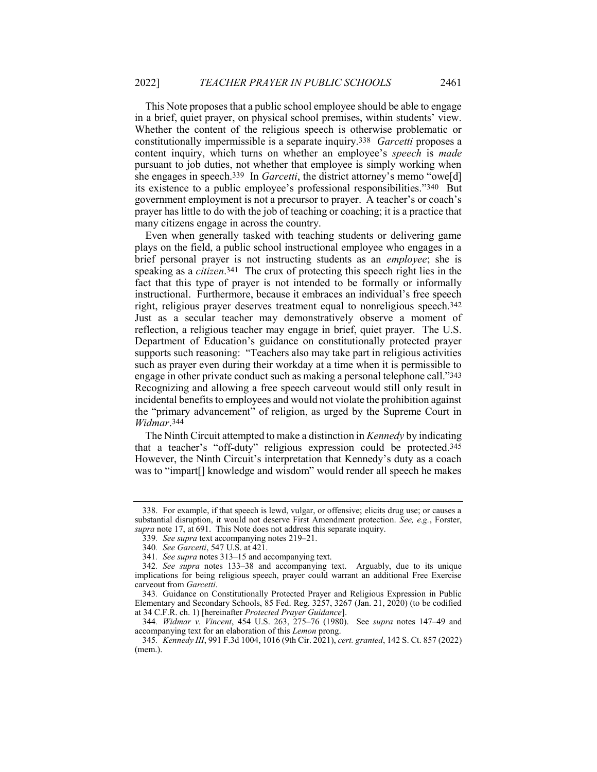This Note proposes that a public school employee should be able to engage in a brief, quiet prayer, on physical school premises, within students' view. Whether the content of the religious speech is otherwise problematic or constitutionally impermissible is a separate inquiry.338 Garcetti proposes a content inquiry, which turns on whether an employee's speech is made pursuant to job duties, not whether that employee is simply working when she engages in speech.<sup>339</sup> In Garcetti, the district attorney's memo "owe[d] its existence to a public employee's professional responsibilities."340 But government employment is not a precursor to prayer. A teacher's or coach's prayer has little to do with the job of teaching or coaching; it is a practice that many citizens engage in across the country.

Even when generally tasked with teaching students or delivering game plays on the field, a public school instructional employee who engages in a brief personal prayer is not instructing students as an employee; she is speaking as a *citizen*.<sup>341</sup> The crux of protecting this speech right lies in the fact that this type of prayer is not intended to be formally or informally instructional. Furthermore, because it embraces an individual's free speech right, religious prayer deserves treatment equal to nonreligious speech.342 Just as a secular teacher may demonstratively observe a moment of reflection, a religious teacher may engage in brief, quiet prayer. The U.S. Department of Education's guidance on constitutionally protected prayer supports such reasoning: "Teachers also may take part in religious activities such as prayer even during their workday at a time when it is permissible to engage in other private conduct such as making a personal telephone call."343 Recognizing and allowing a free speech carveout would still only result in incidental benefits to employees and would not violate the prohibition against the "primary advancement" of religion, as urged by the Supreme Court in Widmar.344

The Ninth Circuit attempted to make a distinction in Kennedy by indicating that a teacher's "off-duty" religious expression could be protected.345 However, the Ninth Circuit's interpretation that Kennedy's duty as a coach was to "impart[] knowledge and wisdom" would render all speech he makes

 <sup>338.</sup> For example, if that speech is lewd, vulgar, or offensive; elicits drug use; or causes a substantial disruption, it would not deserve First Amendment protection. See, e.g., Forster, supra note 17, at 691. This Note does not address this separate inquiry.

<sup>339</sup>. See supra text accompanying notes 219–21.

<sup>340</sup>. See Garcetti, 547 U.S. at 421.

<sup>341</sup>. See supra notes 313–15 and accompanying text.

<sup>342</sup>. See supra notes 133–38 and accompanying text. Arguably, due to its unique implications for being religious speech, prayer could warrant an additional Free Exercise carveout from Garcetti.

<sup>343</sup>. Guidance on Constitutionally Protected Prayer and Religious Expression in Public Elementary and Secondary Schools, 85 Fed. Reg. 3257, 3267 (Jan. 21, 2020) (to be codified at 34 C.F.R. ch. 1) [hereinafter Protected Prayer Guidance].

<sup>344</sup>. Widmar v. Vincent, 454 U.S. 263, 275–76 (1980). See supra notes 147–49 and accompanying text for an elaboration of this Lemon prong.

<sup>345</sup>. Kennedy III, 991 F.3d 1004, 1016 (9th Cir. 2021), cert. granted, 142 S. Ct. 857 (2022) (mem.).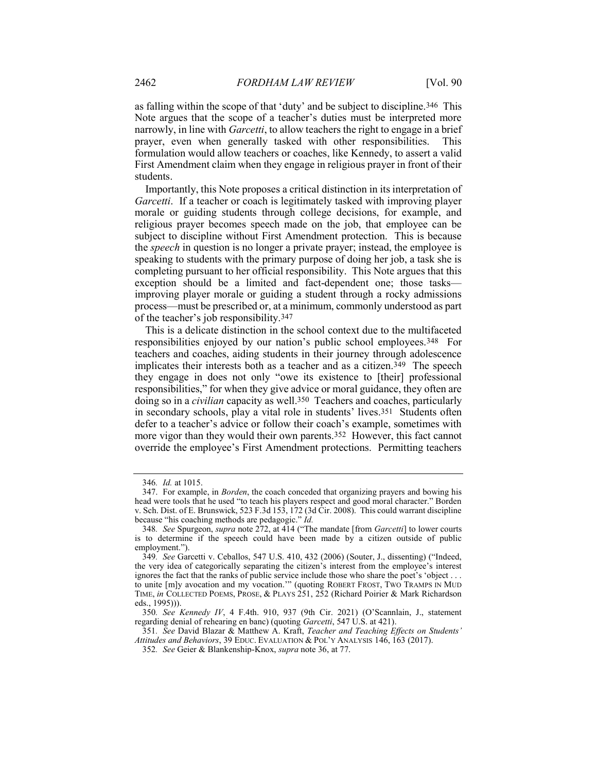as falling within the scope of that 'duty' and be subject to discipline.346 This Note argues that the scope of a teacher's duties must be interpreted more narrowly, in line with *Garcetti*, to allow teachers the right to engage in a brief prayer, even when generally tasked with other responsibilities. This formulation would allow teachers or coaches, like Kennedy, to assert a valid First Amendment claim when they engage in religious prayer in front of their students.

Importantly, this Note proposes a critical distinction in its interpretation of Garcetti. If a teacher or coach is legitimately tasked with improving player morale or guiding students through college decisions, for example, and religious prayer becomes speech made on the job, that employee can be subject to discipline without First Amendment protection. This is because the speech in question is no longer a private prayer; instead, the employee is speaking to students with the primary purpose of doing her job, a task she is completing pursuant to her official responsibility. This Note argues that this exception should be a limited and fact-dependent one; those tasks improving player morale or guiding a student through a rocky admissions process—must be prescribed or, at a minimum, commonly understood as part of the teacher's job responsibility.347

This is a delicate distinction in the school context due to the multifaceted responsibilities enjoyed by our nation's public school employees.348 For teachers and coaches, aiding students in their journey through adolescence implicates their interests both as a teacher and as a citizen.<sup>349</sup> The speech they engage in does not only "owe its existence to [their] professional responsibilities," for when they give advice or moral guidance, they often are doing so in a *civilian* capacity as well.<sup>350</sup> Teachers and coaches, particularly in secondary schools, play a vital role in students' lives.351 Students often defer to a teacher's advice or follow their coach's example, sometimes with more vigor than they would their own parents.352 However, this fact cannot override the employee's First Amendment protections. Permitting teachers

351. See David Blazar & Matthew A. Kraft, Teacher and Teaching Effects on Students' Attitudes and Behaviors, 39 EDUC. EVALUATION & POL'Y ANALYSIS 146, 163 (2017).

<sup>346</sup>. Id. at 1015.

 <sup>347.</sup> For example, in Borden, the coach conceded that organizing prayers and bowing his head were tools that he used "to teach his players respect and good moral character." Borden v. Sch. Dist. of E. Brunswick, 523 F.3d 153, 172 (3d Cir. 2008). This could warrant discipline because "his coaching methods are pedagogic." Id.

<sup>348.</sup> See Spurgeon, supra note 272, at 414 ("The mandate [from Garcetti] to lower courts is to determine if the speech could have been made by a citizen outside of public employment.").

<sup>349</sup>. See Garcetti v. Ceballos, 547 U.S. 410, 432 (2006) (Souter, J., dissenting) ("Indeed, the very idea of categorically separating the citizen's interest from the employee's interest ignores the fact that the ranks of public service include those who share the poet's 'object . . . to unite [m]y avocation and my vocation.'" (quoting ROBERT FROST, TWO TRAMPS IN MUD TIME, in COLLECTED POEMS, PROSE, & PLAYS 251, 252 (Richard Poirier & Mark Richardson eds., 1995))).

<sup>350</sup>. See Kennedy IV, 4 F.4th. 910, 937 (9th Cir. 2021) (O'Scannlain, J., statement regarding denial of rehearing en banc) (quoting Garcetti, 547 U.S. at 421).

<sup>352</sup>. See Geier & Blankenship-Knox, supra note 36, at 77.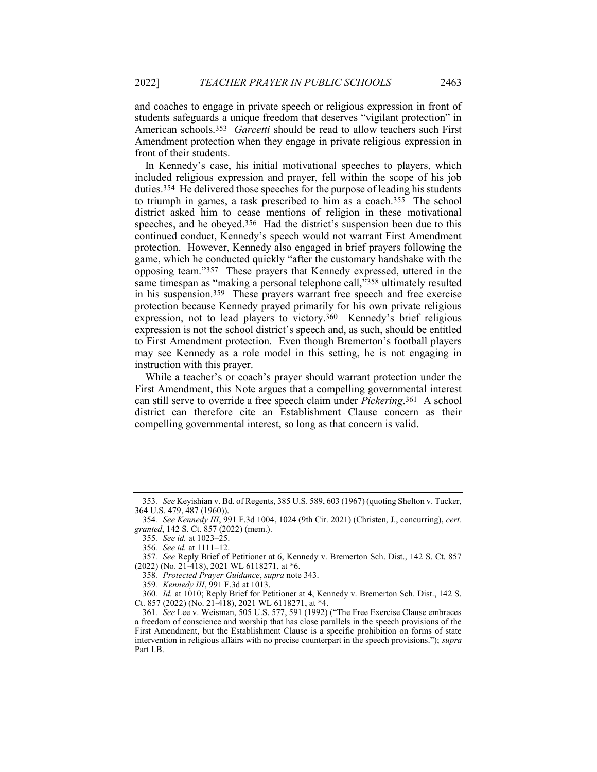and coaches to engage in private speech or religious expression in front of students safeguards a unique freedom that deserves "vigilant protection" in American schools.<sup>353</sup> Garcetti should be read to allow teachers such First Amendment protection when they engage in private religious expression in front of their students.

In Kennedy's case, his initial motivational speeches to players, which included religious expression and prayer, fell within the scope of his job duties.354 He delivered those speeches for the purpose of leading his students to triumph in games, a task prescribed to him as a coach.355 The school district asked him to cease mentions of religion in these motivational speeches, and he obeyed.356 Had the district's suspension been due to this continued conduct, Kennedy's speech would not warrant First Amendment protection. However, Kennedy also engaged in brief prayers following the game, which he conducted quickly "after the customary handshake with the opposing team."357 These prayers that Kennedy expressed, uttered in the same timespan as "making a personal telephone call,"358 ultimately resulted in his suspension.359 These prayers warrant free speech and free exercise protection because Kennedy prayed primarily for his own private religious expression, not to lead players to victory.360 Kennedy's brief religious expression is not the school district's speech and, as such, should be entitled to First Amendment protection. Even though Bremerton's football players may see Kennedy as a role model in this setting, he is not engaging in instruction with this prayer.

While a teacher's or coach's prayer should warrant protection under the First Amendment, this Note argues that a compelling governmental interest can still serve to override a free speech claim under Pickering.361 A school district can therefore cite an Establishment Clause concern as their compelling governmental interest, so long as that concern is valid.

<sup>353</sup>. See Keyishian v. Bd. of Regents, 385 U.S. 589, 603 (1967) (quoting Shelton v. Tucker, 364 U.S. 479, 487 (1960)).

<sup>354</sup>. See Kennedy III, 991 F.3d 1004, 1024 (9th Cir. 2021) (Christen, J., concurring), cert. granted, 142 S. Ct. 857 (2022) (mem.).

<sup>355</sup>. See id. at 1023–25.

<sup>356</sup>. See id. at 1111–12.

<sup>357</sup>. See Reply Brief of Petitioner at 6, Kennedy v. Bremerton Sch. Dist., 142 S. Ct. 857 (2022) (No. 21-418), 2021 WL 6118271, at \*6.

<sup>358</sup>. Protected Prayer Guidance, supra note 343.

<sup>359</sup>. Kennedy III, 991 F.3d at 1013.

<sup>360</sup>. Id. at 1010; Reply Brief for Petitioner at 4, Kennedy v. Bremerton Sch. Dist., 142 S. Ct. 857 (2022) (No. 21-418), 2021 WL 6118271, at \*4.

<sup>361</sup>. See Lee v. Weisman, 505 U.S. 577, 591 (1992) ("The Free Exercise Clause embraces a freedom of conscience and worship that has close parallels in the speech provisions of the First Amendment, but the Establishment Clause is a specific prohibition on forms of state intervention in religious affairs with no precise counterpart in the speech provisions."); supra Part I.B.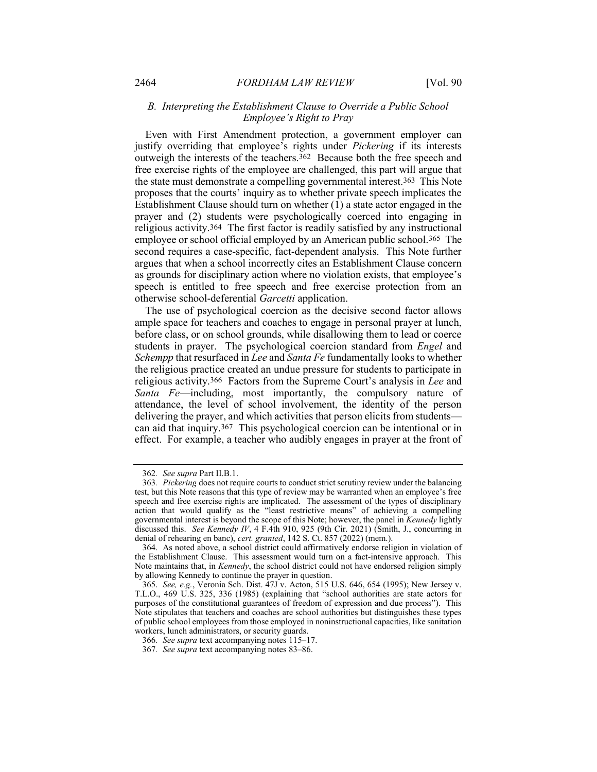## B. Interpreting the Establishment Clause to Override a Public School Employee's Right to Pray

Even with First Amendment protection, a government employer can justify overriding that employee's rights under *Pickering* if its interests outweigh the interests of the teachers.362 Because both the free speech and free exercise rights of the employee are challenged, this part will argue that the state must demonstrate a compelling governmental interest.363 This Note proposes that the courts' inquiry as to whether private speech implicates the Establishment Clause should turn on whether  $(1)$  a state actor engaged in the prayer and (2) students were psychologically coerced into engaging in religious activity.364 The first factor is readily satisfied by any instructional employee or school official employed by an American public school.365 The second requires a case-specific, fact-dependent analysis. This Note further argues that when a school incorrectly cites an Establishment Clause concern as grounds for disciplinary action where no violation exists, that employee's speech is entitled to free speech and free exercise protection from an otherwise school-deferential Garcetti application.

The use of psychological coercion as the decisive second factor allows ample space for teachers and coaches to engage in personal prayer at lunch, before class, or on school grounds, while disallowing them to lead or coerce students in prayer. The psychological coercion standard from Engel and Schempp that resurfaced in Lee and Santa Fe fundamentally looks to whether the religious practice created an undue pressure for students to participate in religious activity.366 Factors from the Supreme Court's analysis in Lee and Santa Fe—including, most importantly, the compulsory nature of attendance, the level of school involvement, the identity of the person delivering the prayer, and which activities that person elicits from students can aid that inquiry.367 This psychological coercion can be intentional or in effect. For example, a teacher who audibly engages in prayer at the front of

<sup>362</sup>. See supra Part II.B.1.

<sup>363</sup>. Pickering does not require courts to conduct strict scrutiny review under the balancing test, but this Note reasons that this type of review may be warranted when an employee's free speech and free exercise rights are implicated. The assessment of the types of disciplinary action that would qualify as the "least restrictive means" of achieving a compelling governmental interest is beyond the scope of this Note; however, the panel in Kennedy lightly discussed this. See Kennedy IV, 4 F.4th 910, 925 (9th Cir. 2021) (Smith, J., concurring in denial of rehearing en banc), cert. granted, 142 S. Ct. 857 (2022) (mem.).

 <sup>364.</sup> As noted above, a school district could affirmatively endorse religion in violation of the Establishment Clause. This assessment would turn on a fact-intensive approach. This Note maintains that, in *Kennedy*, the school district could not have endorsed religion simply by allowing Kennedy to continue the prayer in question.

 <sup>365.</sup> See, e.g., Veronia Sch. Dist. 47J v. Acton, 515 U.S. 646, 654 (1995); New Jersey v. T.L.O., 469 U.S. 325, 336 (1985) (explaining that "school authorities are state actors for purposes of the constitutional guarantees of freedom of expression and due process"). This Note stipulates that teachers and coaches are school authorities but distinguishes these types of public school employees from those employed in noninstructional capacities, like sanitation workers, lunch administrators, or security guards.

<sup>366</sup>. See supra text accompanying notes 115–17.

<sup>367</sup>. See supra text accompanying notes 83–86.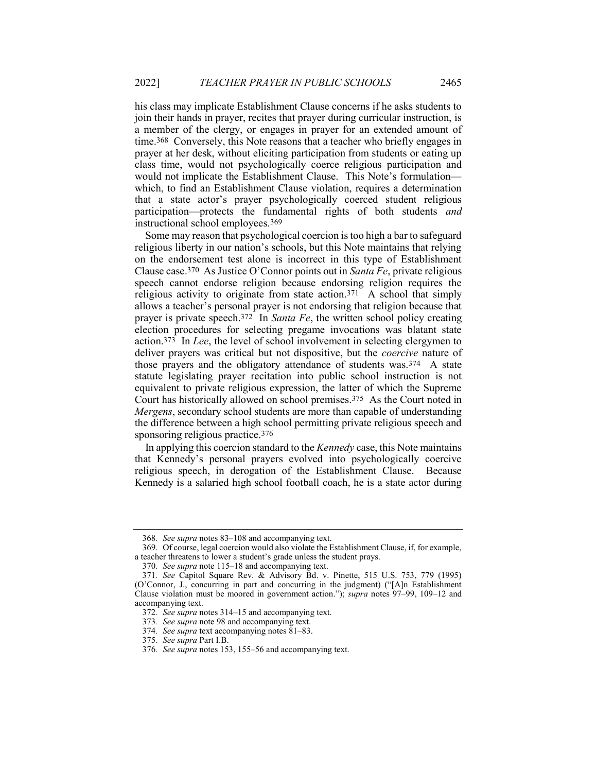his class may implicate Establishment Clause concerns if he asks students to join their hands in prayer, recites that prayer during curricular instruction, is a member of the clergy, or engages in prayer for an extended amount of time.368 Conversely, this Note reasons that a teacher who briefly engages in prayer at her desk, without eliciting participation from students or eating up class time, would not psychologically coerce religious participation and would not implicate the Establishment Clause. This Note's formulation which, to find an Establishment Clause violation, requires a determination that a state actor's prayer psychologically coerced student religious participation—protects the fundamental rights of both students and instructional school employees.369

Some may reason that psychological coercion is too high a bar to safeguard religious liberty in our nation's schools, but this Note maintains that relying on the endorsement test alone is incorrect in this type of Establishment Clause case.370 As Justice O'Connor points out in Santa Fe, private religious speech cannot endorse religion because endorsing religion requires the religious activity to originate from state action.371 A school that simply allows a teacher's personal prayer is not endorsing that religion because that prayer is private speech.372 In Santa Fe, the written school policy creating election procedures for selecting pregame invocations was blatant state action.373 In Lee, the level of school involvement in selecting clergymen to deliver prayers was critical but not dispositive, but the *coercive* nature of those prayers and the obligatory attendance of students was.374 A state statute legislating prayer recitation into public school instruction is not equivalent to private religious expression, the latter of which the Supreme Court has historically allowed on school premises.375 As the Court noted in Mergens, secondary school students are more than capable of understanding the difference between a high school permitting private religious speech and sponsoring religious practice.376

In applying this coercion standard to the Kennedy case, this Note maintains that Kennedy's personal prayers evolved into psychologically coercive religious speech, in derogation of the Establishment Clause. Because Kennedy is a salaried high school football coach, he is a state actor during

<sup>368</sup>. See supra notes 83–108 and accompanying text.

 <sup>369.</sup> Of course, legal coercion would also violate the Establishment Clause, if, for example, a teacher threatens to lower a student's grade unless the student prays.

<sup>370</sup>. See supra note 115–18 and accompanying text.

<sup>371</sup>. See Capitol Square Rev. & Advisory Bd. v. Pinette, 515 U.S. 753, 779 (1995) (O'Connor, J., concurring in part and concurring in the judgment) ("[A]n Establishment Clause violation must be moored in government action."); supra notes 97–99, 109–12 and accompanying text.

<sup>372</sup>. See supra notes 314–15 and accompanying text.

<sup>373</sup>. See supra note 98 and accompanying text.

<sup>374</sup>. See supra text accompanying notes 81–83.

<sup>375</sup>. See supra Part I.B.

<sup>376</sup>. See supra notes 153, 155–56 and accompanying text.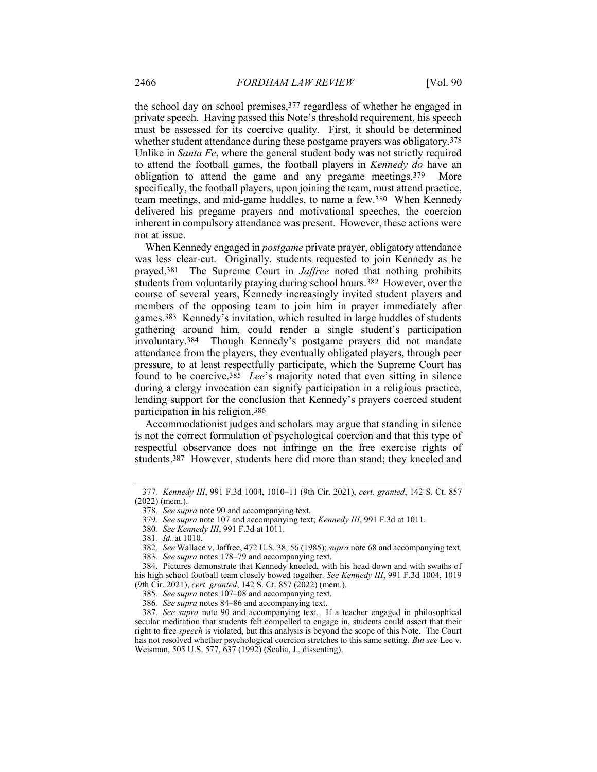the school day on school premises,377 regardless of whether he engaged in private speech. Having passed this Note's threshold requirement, his speech must be assessed for its coercive quality. First, it should be determined whether student attendance during these postgame prayers was obligatory.378 Unlike in Santa Fe, where the general student body was not strictly required to attend the football games, the football players in Kennedy do have an obligation to attend the game and any pregame meetings.379 More specifically, the football players, upon joining the team, must attend practice, team meetings, and mid-game huddles, to name a few.380 When Kennedy delivered his pregame prayers and motivational speeches, the coercion inherent in compulsory attendance was present. However, these actions were not at issue.

When Kennedy engaged in *postgame* private prayer, obligatory attendance was less clear-cut. Originally, students requested to join Kennedy as he prayed.381 The Supreme Court in Jaffree noted that nothing prohibits students from voluntarily praying during school hours.382 However, over the course of several years, Kennedy increasingly invited student players and members of the opposing team to join him in prayer immediately after games.383 Kennedy's invitation, which resulted in large huddles of students gathering around him, could render a single student's participation involuntary.384 Though Kennedy's postgame prayers did not mandate attendance from the players, they eventually obligated players, through peer pressure, to at least respectfully participate, which the Supreme Court has found to be coercive.385 Lee's majority noted that even sitting in silence during a clergy invocation can signify participation in a religious practice, lending support for the conclusion that Kennedy's prayers coerced student participation in his religion.386

Accommodationist judges and scholars may argue that standing in silence is not the correct formulation of psychological coercion and that this type of respectful observance does not infringe on the free exercise rights of students.387 However, students here did more than stand; they kneeled and

<sup>377</sup>. Kennedy III, 991 F.3d 1004, 1010–11 (9th Cir. 2021), cert. granted, 142 S. Ct. 857 (2022) (mem.).

<sup>378</sup>. See supra note 90 and accompanying text.

<sup>379</sup>. See supra note 107 and accompanying text; Kennedy III, 991 F.3d at 1011.

<sup>380</sup>. See Kennedy III, 991 F.3d at 1011.

<sup>381</sup>. Id. at 1010.

<sup>382</sup>. See Wallace v. Jaffree, 472 U.S. 38, 56 (1985); supra note 68 and accompanying text.

<sup>383</sup>. See supra notes 178–79 and accompanying text.

 <sup>384.</sup> Pictures demonstrate that Kennedy kneeled, with his head down and with swaths of his high school football team closely bowed together. See Kennedy III, 991 F.3d 1004, 1019 (9th Cir. 2021), cert. granted, 142 S. Ct. 857 (2022) (mem.).

<sup>385</sup>. See supra notes 107–08 and accompanying text.

<sup>386</sup>. See supra notes 84–86 and accompanying text.

<sup>387</sup>. See supra note 90 and accompanying text. If a teacher engaged in philosophical secular meditation that students felt compelled to engage in, students could assert that their right to free speech is violated, but this analysis is beyond the scope of this Note. The Court has not resolved whether psychological coercion stretches to this same setting. But see Lee v. Weisman, 505 U.S. 577, 637 (1992) (Scalia, J., dissenting).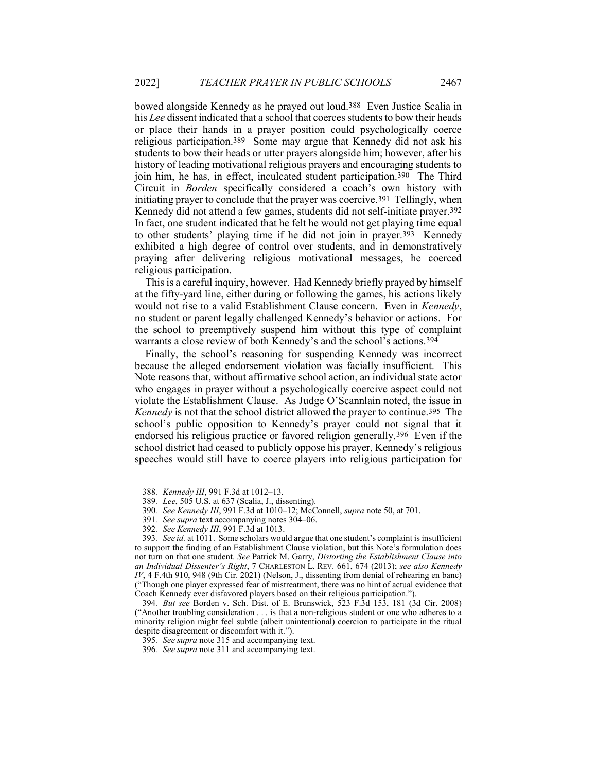bowed alongside Kennedy as he prayed out loud.388 Even Justice Scalia in his Lee dissent indicated that a school that coerces students to bow their heads or place their hands in a prayer position could psychologically coerce religious participation.389 Some may argue that Kennedy did not ask his students to bow their heads or utter prayers alongside him; however, after his history of leading motivational religious prayers and encouraging students to join him, he has, in effect, inculcated student participation.390 The Third Circuit in Borden specifically considered a coach's own history with initiating prayer to conclude that the prayer was coercive.391 Tellingly, when Kennedy did not attend a few games, students did not self-initiate prayer.392 In fact, one student indicated that he felt he would not get playing time equal to other students' playing time if he did not join in prayer.393 Kennedy exhibited a high degree of control over students, and in demonstratively praying after delivering religious motivational messages, he coerced religious participation.

This is a careful inquiry, however. Had Kennedy briefly prayed by himself at the fifty-yard line, either during or following the games, his actions likely would not rise to a valid Establishment Clause concern. Even in *Kennedy*, no student or parent legally challenged Kennedy's behavior or actions. For the school to preemptively suspend him without this type of complaint warrants a close review of both Kennedy's and the school's actions.394

Finally, the school's reasoning for suspending Kennedy was incorrect because the alleged endorsement violation was facially insufficient. This Note reasons that, without affirmative school action, an individual state actor who engages in prayer without a psychologically coercive aspect could not violate the Establishment Clause. As Judge O'Scannlain noted, the issue in Kennedy is not that the school district allowed the prayer to continue.395 The school's public opposition to Kennedy's prayer could not signal that it endorsed his religious practice or favored religion generally.396 Even if the school district had ceased to publicly oppose his prayer, Kennedy's religious speeches would still have to coerce players into religious participation for

<sup>388</sup>. Kennedy III, 991 F.3d at 1012–13.

<sup>389</sup>. Lee, 505 U.S. at 637 (Scalia, J., dissenting).

<sup>390</sup>. See Kennedy III, 991 F.3d at 1010–12; McConnell, supra note 50, at 701.

<sup>391</sup>. See supra text accompanying notes 304–06.

<sup>392</sup>. See Kennedy III, 991 F.3d at 1013.

<sup>393.</sup> See id. at 1011. Some scholars would argue that one student's complaint is insufficient to support the finding of an Establishment Clause violation, but this Note's formulation does not turn on that one student. See Patrick M. Garry, Distorting the Establishment Clause into an Individual Dissenter's Right, 7 CHARLESTON L. REV. 661, 674 (2013); see also Kennedy IV, 4 F.4th 910, 948 (9th Cir. 2021) (Nelson, J., dissenting from denial of rehearing en banc) ("Though one player expressed fear of mistreatment, there was no hint of actual evidence that Coach Kennedy ever disfavored players based on their religious participation.").

<sup>394</sup>. But see Borden v. Sch. Dist. of E. Brunswick, 523 F.3d 153, 181 (3d Cir. 2008) ("Another troubling consideration . . . is that a non-religious student or one who adheres to a minority religion might feel subtle (albeit unintentional) coercion to participate in the ritual despite disagreement or discomfort with it.").

<sup>395</sup>. See supra note 315 and accompanying text.

<sup>396</sup>. See supra note 311 and accompanying text.